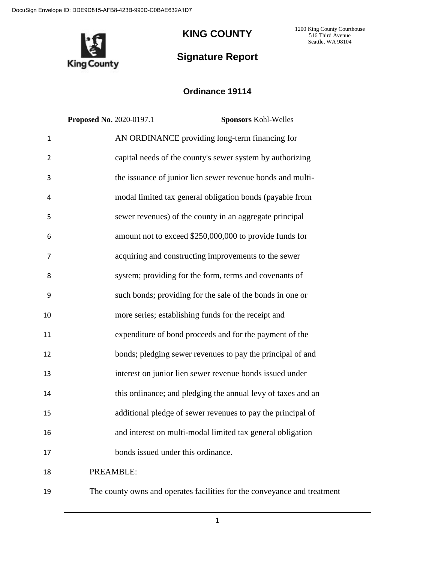DocuSign Envelope ID: DDE9D815-AFB8-423B-990D-C0BAE632A1D7



# **KING COUNTY**

**Signature Report**

1200 King County Courthouse 516 Third Avenue Seattle, WA 98104

# **Ordinance 19114**

|                | <b>Proposed No. 2020-0197.1</b><br><b>Sponsors Kohl-Welles</b> |  |
|----------------|----------------------------------------------------------------|--|
| $\mathbf{1}$   | AN ORDINANCE providing long-term financing for                 |  |
| $\overline{2}$ | capital needs of the county's sewer system by authorizing      |  |
| 3              | the issuance of junior lien sewer revenue bonds and multi-     |  |
| 4              | modal limited tax general obligation bonds (payable from       |  |
| 5              | sewer revenues) of the county in an aggregate principal        |  |
| 6              | amount not to exceed \$250,000,000 to provide funds for        |  |
| $\overline{7}$ | acquiring and constructing improvements to the sewer           |  |
| 8              | system; providing for the form, terms and covenants of         |  |
| 9              | such bonds; providing for the sale of the bonds in one or      |  |
| 10             | more series; establishing funds for the receipt and            |  |
| 11             | expenditure of bond proceeds and for the payment of the        |  |
| 12             | bonds; pledging sewer revenues to pay the principal of and     |  |
| 13             | interest on junior lien sewer revenue bonds issued under       |  |
| 14             | this ordinance; and pledging the annual levy of taxes and an   |  |
| 15             | additional pledge of sewer revenues to pay the principal of    |  |
| 16             | and interest on multi-modal limited tax general obligation     |  |
| 17             | bonds issued under this ordinance.                             |  |
| 18             | PREAMBLE:                                                      |  |

The county owns and operates facilities for the conveyance and treatment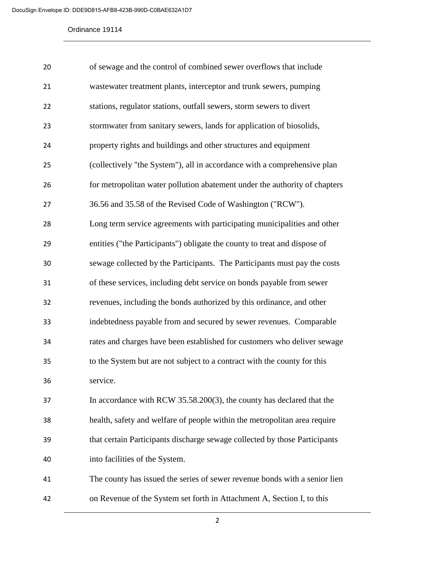| 20 | of sewage and the control of combined sewer overflows that include         |
|----|----------------------------------------------------------------------------|
| 21 | wastewater treatment plants, interceptor and trunk sewers, pumping         |
| 22 | stations, regulator stations, outfall sewers, storm sewers to divert       |
| 23 | stormwater from sanitary sewers, lands for application of biosolids,       |
| 24 | property rights and buildings and other structures and equipment           |
| 25 | (collectively "the System"), all in accordance with a comprehensive plan   |
| 26 | for metropolitan water pollution abatement under the authority of chapters |
| 27 | 36.56 and 35.58 of the Revised Code of Washington ("RCW").                 |
| 28 | Long term service agreements with participating municipalities and other   |
| 29 | entities ("the Participants") obligate the county to treat and dispose of  |
| 30 | sewage collected by the Participants. The Participants must pay the costs  |
| 31 | of these services, including debt service on bonds payable from sewer      |
| 32 | revenues, including the bonds authorized by this ordinance, and other      |
| 33 | indebtedness payable from and secured by sewer revenues. Comparable        |
| 34 | rates and charges have been established for customers who deliver sewage   |
| 35 | to the System but are not subject to a contract with the county for this   |
| 36 | service.                                                                   |
| 37 | In accordance with RCW 35.58.200(3), the county has declared that the      |
| 38 | health, safety and welfare of people within the metropolitan area require  |
| 39 | that certain Participants discharge sewage collected by those Participants |
| 40 | into facilities of the System.                                             |
| 41 | The county has issued the series of sewer revenue bonds with a senior lien |
| 42 | on Revenue of the System set forth in Attachment A, Section I, to this     |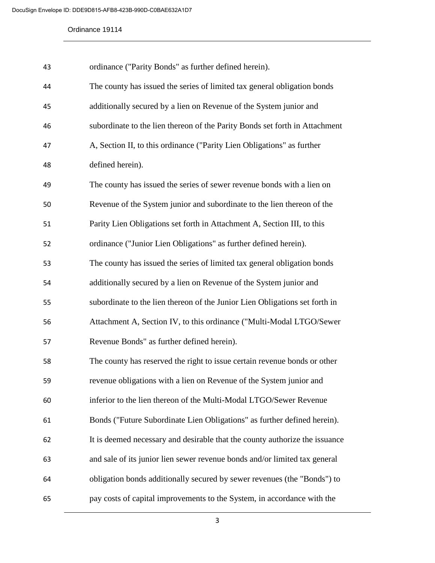| 43 | ordinance ("Parity Bonds" as further defined herein).                       |
|----|-----------------------------------------------------------------------------|
| 44 | The county has issued the series of limited tax general obligation bonds    |
| 45 | additionally secured by a lien on Revenue of the System junior and          |
| 46 | subordinate to the lien thereon of the Parity Bonds set forth in Attachment |
| 47 | A, Section II, to this ordinance ("Parity Lien Obligations" as further      |
| 48 | defined herein).                                                            |
| 49 | The county has issued the series of sewer revenue bonds with a lien on      |
| 50 | Revenue of the System junior and subordinate to the lien thereon of the     |
| 51 | Parity Lien Obligations set forth in Attachment A, Section III, to this     |
| 52 | ordinance ("Junior Lien Obligations" as further defined herein).            |
| 53 | The county has issued the series of limited tax general obligation bonds    |
| 54 | additionally secured by a lien on Revenue of the System junior and          |
| 55 | subordinate to the lien thereon of the Junior Lien Obligations set forth in |
| 56 | Attachment A, Section IV, to this ordinance ("Multi-Modal LTGO/Sewer        |
| 57 | Revenue Bonds" as further defined herein).                                  |
| 58 | The county has reserved the right to issue certain revenue bonds or other   |
| 59 | revenue obligations with a lien on Revenue of the System junior and         |
| 60 | inferior to the lien thereon of the Multi-Modal LTGO/Sewer Revenue          |
| 61 | Bonds ("Future Subordinate Lien Obligations" as further defined herein).    |
| 62 | It is deemed necessary and desirable that the county authorize the issuance |
| 63 | and sale of its junior lien sewer revenue bonds and/or limited tax general  |
| 64 | obligation bonds additionally secured by sewer revenues (the "Bonds") to    |
| 65 | pay costs of capital improvements to the System, in accordance with the     |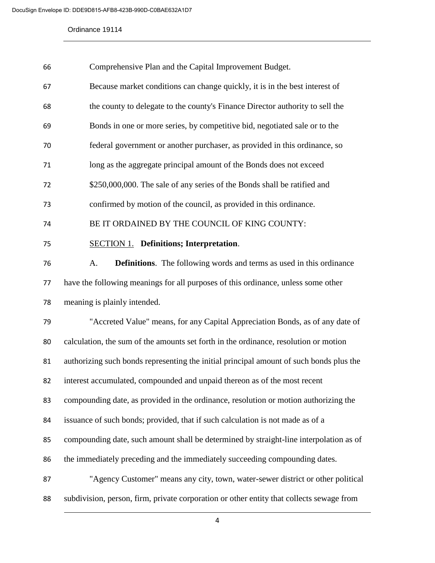| 66 | Comprehensive Plan and the Capital Improvement Budget.                                   |
|----|------------------------------------------------------------------------------------------|
| 67 | Because market conditions can change quickly, it is in the best interest of              |
| 68 | the county to delegate to the county's Finance Director authority to sell the            |
| 69 | Bonds in one or more series, by competitive bid, negotiated sale or to the               |
| 70 | federal government or another purchaser, as provided in this ordinance, so               |
| 71 | long as the aggregate principal amount of the Bonds does not exceed                      |
| 72 | \$250,000,000. The sale of any series of the Bonds shall be ratified and                 |
| 73 | confirmed by motion of the council, as provided in this ordinance.                       |
| 74 | BE IT ORDAINED BY THE COUNCIL OF KING COUNTY:                                            |
| 75 | <b>SECTION 1.</b> Definitions; Interpretation.                                           |
| 76 | <b>Definitions.</b> The following words and terms as used in this ordinance<br>A.        |
| 77 | have the following meanings for all purposes of this ordinance, unless some other        |
| 78 | meaning is plainly intended.                                                             |
| 79 | "Accreted Value" means, for any Capital Appreciation Bonds, as of any date of            |
| 80 | calculation, the sum of the amounts set forth in the ordinance, resolution or motion     |
| 81 | authorizing such bonds representing the initial principal amount of such bonds plus the  |
| 82 | interest accumulated, compounded and unpaid thereon as of the most recent                |
| 83 | compounding date, as provided in the ordinance, resolution or motion authorizing the     |
| 84 | issuance of such bonds; provided, that if such calculation is not made as of a           |
| 85 | compounding date, such amount shall be determined by straight-line interpolation as of   |
| 86 | the immediately preceding and the immediately succeeding compounding dates.              |
| 87 | "Agency Customer" means any city, town, water-sewer district or other political          |
| 88 | subdivision, person, firm, private corporation or other entity that collects sewage from |
|    |                                                                                          |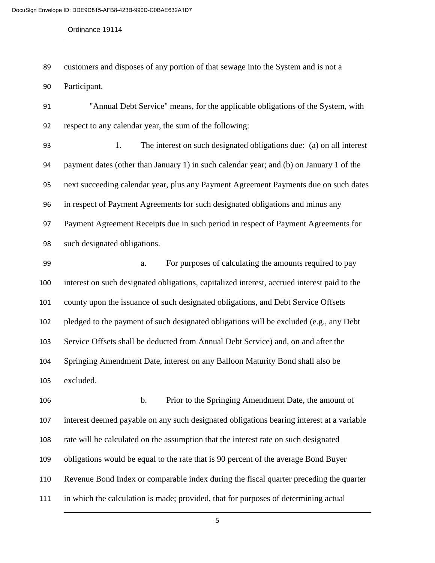customers and disposes of any portion of that sewage into the System and is not a

Participant.

 "Annual Debt Service" means, for the applicable obligations of the System, with respect to any calendar year, the sum of the following:

 1. The interest on such designated obligations due: (a) on all interest payment dates (other than January 1) in such calendar year; and (b) on January 1 of the next succeeding calendar year, plus any Payment Agreement Payments due on such dates in respect of Payment Agreements for such designated obligations and minus any Payment Agreement Receipts due in such period in respect of Payment Agreements for such designated obligations.

 a. For purposes of calculating the amounts required to pay interest on such designated obligations, capitalized interest, accrued interest paid to the county upon the issuance of such designated obligations, and Debt Service Offsets pledged to the payment of such designated obligations will be excluded (e.g., any Debt Service Offsets shall be deducted from Annual Debt Service) and, on and after the Springing Amendment Date, interest on any Balloon Maturity Bond shall also be excluded.

 b. Prior to the Springing Amendment Date, the amount of interest deemed payable on any such designated obligations bearing interest at a variable rate will be calculated on the assumption that the interest rate on such designated obligations would be equal to the rate that is 90 percent of the average Bond Buyer Revenue Bond Index or comparable index during the fiscal quarter preceding the quarter in which the calculation is made; provided, that for purposes of determining actual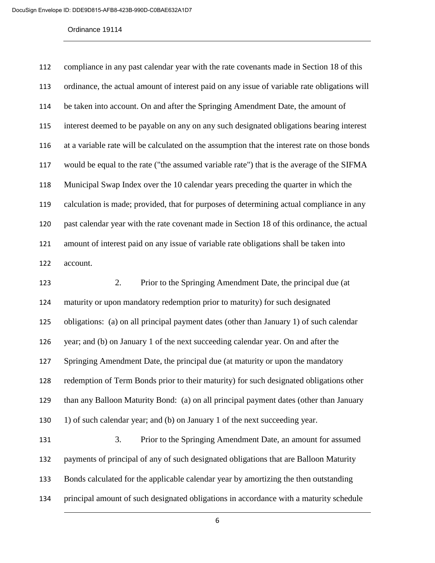| 112 | compliance in any past calendar year with the rate covenants made in Section 18 of this       |
|-----|-----------------------------------------------------------------------------------------------|
| 113 | ordinance, the actual amount of interest paid on any issue of variable rate obligations will  |
| 114 | be taken into account. On and after the Springing Amendment Date, the amount of               |
| 115 | interest deemed to be payable on any on any such designated obligations bearing interest      |
| 116 | at a variable rate will be calculated on the assumption that the interest rate on those bonds |
| 117 | would be equal to the rate ("the assumed variable rate") that is the average of the SIFMA     |
| 118 | Municipal Swap Index over the 10 calendar years preceding the quarter in which the            |
| 119 | calculation is made; provided, that for purposes of determining actual compliance in any      |
| 120 | past calendar year with the rate covenant made in Section 18 of this ordinance, the actual    |
| 121 | amount of interest paid on any issue of variable rate obligations shall be taken into         |
| 122 | account.                                                                                      |
| 123 | Prior to the Springing Amendment Date, the principal due (at<br>2.                            |
| 124 | maturity or upon mandatory redemption prior to maturity) for such designated                  |
| 125 | obligations: (a) on all principal payment dates (other than January 1) of such calendar       |
| 126 | year; and (b) on January 1 of the next succeeding calendar year. On and after the             |
| 127 | Springing Amendment Date, the principal due (at maturity or upon the mandatory                |
| 128 | redemption of Term Bonds prior to their maturity) for such designated obligations other       |
| 129 | than any Balloon Maturity Bond: (a) on all principal payment dates (other than January        |
| 130 | 1) of such calendar year; and (b) on January 1 of the next succeeding year.                   |
| 131 | 3.<br>Prior to the Springing Amendment Date, an amount for assumed                            |
| 132 | payments of principal of any of such designated obligations that are Balloon Maturity         |
| 133 | Bonds calculated for the applicable calendar year by amortizing the then outstanding          |
| 134 | principal amount of such designated obligations in accordance with a maturity schedule        |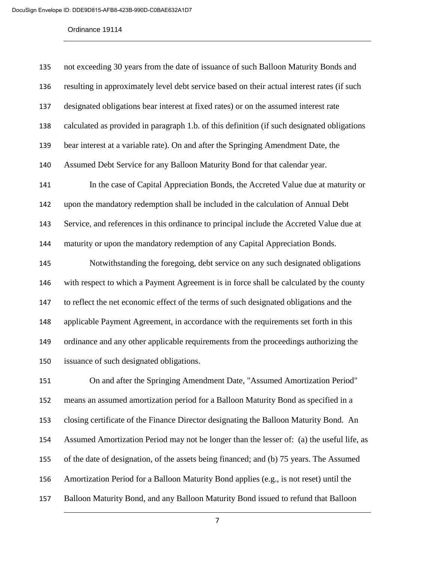| 135 | not exceeding 30 years from the date of issuance of such Balloon Maturity Bonds and         |
|-----|---------------------------------------------------------------------------------------------|
| 136 | resulting in approximately level debt service based on their actual interest rates (if such |
| 137 | designated obligations bear interest at fixed rates) or on the assumed interest rate        |
| 138 | calculated as provided in paragraph 1.b. of this definition (if such designated obligations |
| 139 | bear interest at a variable rate). On and after the Springing Amendment Date, the           |
| 140 | Assumed Debt Service for any Balloon Maturity Bond for that calendar year.                  |
| 141 | In the case of Capital Appreciation Bonds, the Accreted Value due at maturity or            |
| 142 | upon the mandatory redemption shall be included in the calculation of Annual Debt           |
| 143 | Service, and references in this ordinance to principal include the Accreted Value due at    |
| 144 | maturity or upon the mandatory redemption of any Capital Appreciation Bonds.                |
| 145 | Notwithstanding the foregoing, debt service on any such designated obligations              |
| 146 | with respect to which a Payment Agreement is in force shall be calculated by the county     |
| 147 | to reflect the net economic effect of the terms of such designated obligations and the      |
| 148 | applicable Payment Agreement, in accordance with the requirements set forth in this         |
| 149 | ordinance and any other applicable requirements from the proceedings authorizing the        |
| 150 | issuance of such designated obligations.                                                    |
| 151 | On and after the Springing Amendment Date, "Assumed Amortization Period"                    |
| 152 | means an assumed amortization period for a Balloon Maturity Bond as specified in a          |
| 153 | closing certificate of the Finance Director designating the Balloon Maturity Bond. An       |
| 154 | Assumed Amortization Period may not be longer than the lesser of: (a) the useful life, as   |
| 155 | of the date of designation, of the assets being financed; and (b) 75 years. The Assumed     |

Amortization Period for a Balloon Maturity Bond applies (e.g., is not reset) until the

Balloon Maturity Bond, and any Balloon Maturity Bond issued to refund that Balloon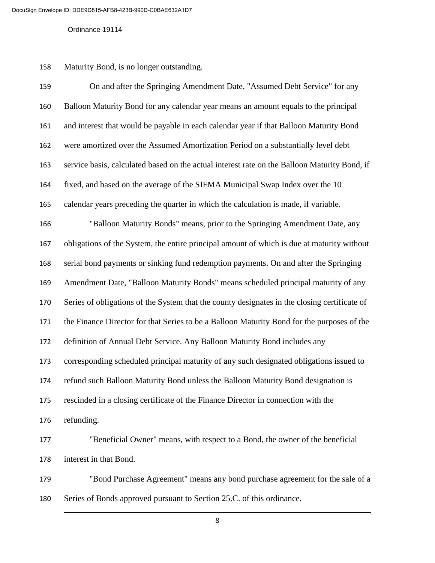Maturity Bond, is no longer outstanding.

| 159 | On and after the Springing Amendment Date, "Assumed Debt Service" for any                    |
|-----|----------------------------------------------------------------------------------------------|
| 160 | Balloon Maturity Bond for any calendar year means an amount equals to the principal          |
| 161 | and interest that would be payable in each calendar year if that Balloon Maturity Bond       |
| 162 | were amortized over the Assumed Amortization Period on a substantially level debt            |
| 163 | service basis, calculated based on the actual interest rate on the Balloon Maturity Bond, if |
| 164 | fixed, and based on the average of the SIFMA Municipal Swap Index over the 10                |
| 165 | calendar years preceding the quarter in which the calculation is made, if variable.          |
| 166 | "Balloon Maturity Bonds" means, prior to the Springing Amendment Date, any                   |
| 167 | obligations of the System, the entire principal amount of which is due at maturity without   |
| 168 | serial bond payments or sinking fund redemption payments. On and after the Springing         |
| 169 | Amendment Date, "Balloon Maturity Bonds" means scheduled principal maturity of any           |
| 170 | Series of obligations of the System that the county designates in the closing certificate of |
| 171 | the Finance Director for that Series to be a Balloon Maturity Bond for the purposes of the   |
| 172 | definition of Annual Debt Service. Any Balloon Maturity Bond includes any                    |
| 173 | corresponding scheduled principal maturity of any such designated obligations issued to      |
| 174 | refund such Balloon Maturity Bond unless the Balloon Maturity Bond designation is            |
| 175 | rescinded in a closing certificate of the Finance Director in connection with the            |
| 176 | refunding.                                                                                   |
| 177 | "Beneficial Owner" means, with respect to a Bond, the owner of the beneficial                |
| 178 | interest in that Bond.                                                                       |
|     |                                                                                              |

 "Bond Purchase Agreement" means any bond purchase agreement for the sale of a Series of Bonds approved pursuant to Section 25.C. of this ordinance.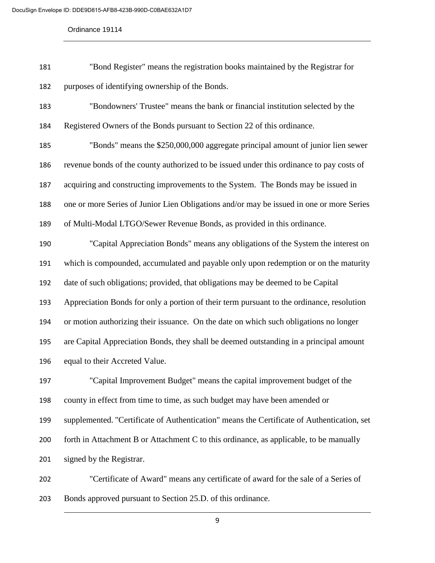| 181 | "Bond Register" means the registration books maintained by the Registrar for |
|-----|------------------------------------------------------------------------------|
| 182 | purposes of identifying ownership of the Bonds.                              |

 "Bondowners' Trustee" means the bank or financial institution selected by the Registered Owners of the Bonds pursuant to Section 22 of this ordinance.

 "Bonds" means the \$250,000,000 aggregate principal amount of junior lien sewer revenue bonds of the county authorized to be issued under this ordinance to pay costs of acquiring and constructing improvements to the System. The Bonds may be issued in one or more Series of Junior Lien Obligations and/or may be issued in one or more Series of Multi-Modal LTGO/Sewer Revenue Bonds, as provided in this ordinance.

 "Capital Appreciation Bonds" means any obligations of the System the interest on which is compounded, accumulated and payable only upon redemption or on the maturity date of such obligations; provided, that obligations may be deemed to be Capital Appreciation Bonds for only a portion of their term pursuant to the ordinance, resolution or motion authorizing their issuance. On the date on which such obligations no longer are Capital Appreciation Bonds, they shall be deemed outstanding in a principal amount equal to their Accreted Value.

 "Capital Improvement Budget" means the capital improvement budget of the county in effect from time to time, as such budget may have been amended or supplemented. "Certificate of Authentication" means the Certificate of Authentication, set forth in Attachment B or Attachment C to this ordinance, as applicable, to be manually signed by the Registrar.

 "Certificate of Award" means any certificate of award for the sale of a Series of Bonds approved pursuant to Section 25.D. of this ordinance.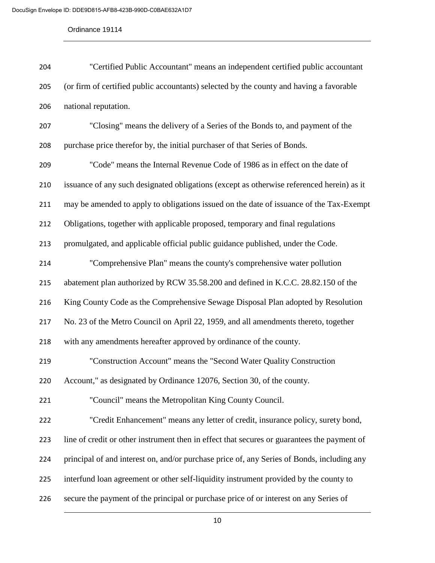| 204 | "Certified Public Accountant" means an independent certified public accountant              |
|-----|---------------------------------------------------------------------------------------------|
| 205 | (or firm of certified public accountants) selected by the county and having a favorable     |
| 206 | national reputation.                                                                        |
| 207 | "Closing" means the delivery of a Series of the Bonds to, and payment of the                |
| 208 | purchase price therefor by, the initial purchaser of that Series of Bonds.                  |
| 209 | "Code" means the Internal Revenue Code of 1986 as in effect on the date of                  |
| 210 | issuance of any such designated obligations (except as otherwise referenced herein) as it   |
| 211 | may be amended to apply to obligations issued on the date of issuance of the Tax-Exempt     |
| 212 | Obligations, together with applicable proposed, temporary and final regulations             |
| 213 | promulgated, and applicable official public guidance published, under the Code.             |
| 214 | "Comprehensive Plan" means the county's comprehensive water pollution                       |
| 215 | abatement plan authorized by RCW 35.58.200 and defined in K.C.C. 28.82.150 of the           |
| 216 | King County Code as the Comprehensive Sewage Disposal Plan adopted by Resolution            |
| 217 | No. 23 of the Metro Council on April 22, 1959, and all amendments thereto, together         |
| 218 | with any amendments hereafter approved by ordinance of the county.                          |
| 219 | "Construction Account" means the "Second Water Quality Construction                         |
| 220 | Account," as designated by Ordinance 12076, Section 30, of the county.                      |
| 221 | "Council" means the Metropolitan King County Council.                                       |
| 222 | "Credit Enhancement" means any letter of credit, insurance policy, surety bond,             |
| 223 | line of credit or other instrument then in effect that secures or guarantees the payment of |
| 224 | principal of and interest on, and/or purchase price of, any Series of Bonds, including any  |
| 225 | interfund loan agreement or other self-liquidity instrument provided by the county to       |
| 226 | secure the payment of the principal or purchase price of or interest on any Series of       |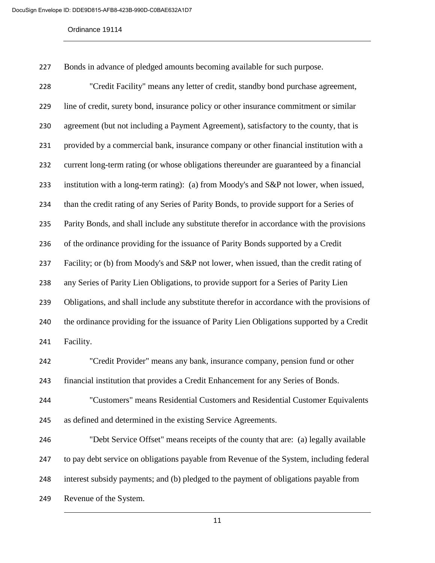Bonds in advance of pledged amounts becoming available for such purpose.

 "Credit Facility" means any letter of credit, standby bond purchase agreement, line of credit, surety bond, insurance policy or other insurance commitment or similar agreement (but not including a Payment Agreement), satisfactory to the county, that is provided by a commercial bank, insurance company or other financial institution with a current long-term rating (or whose obligations thereunder are guaranteed by a financial institution with a long-term rating): (a) from Moody's and S&P not lower, when issued, than the credit rating of any Series of Parity Bonds, to provide support for a Series of Parity Bonds, and shall include any substitute therefor in accordance with the provisions of the ordinance providing for the issuance of Parity Bonds supported by a Credit Facility; or (b) from Moody's and S&P not lower, when issued, than the credit rating of any Series of Parity Lien Obligations, to provide support for a Series of Parity Lien 239 Obligations, and shall include any substitute therefor in accordance with the provisions of the ordinance providing for the issuance of Parity Lien Obligations supported by a Credit Facility. "Credit Provider" means any bank, insurance company, pension fund or other financial institution that provides a Credit Enhancement for any Series of Bonds. "Customers" means Residential Customers and Residential Customer Equivalents as defined and determined in the existing Service Agreements.

 "Debt Service Offset" means receipts of the county that are: (a) legally available to pay debt service on obligations payable from Revenue of the System, including federal interest subsidy payments; and (b) pledged to the payment of obligations payable from Revenue of the System.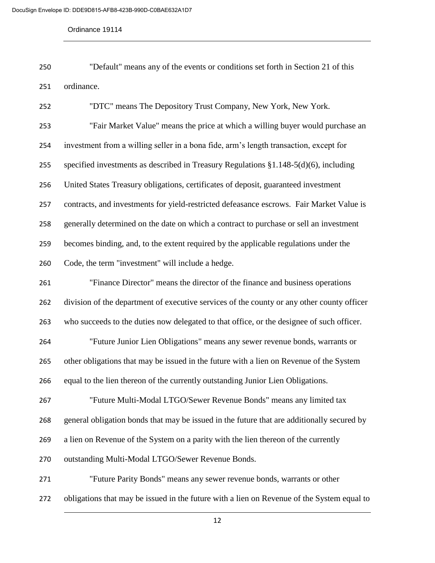"Default" means any of the events or conditions set forth in Section 21 of this ordinance.

 "DTC" means The Depository Trust Company, New York, New York. "Fair Market Value" means the price at which a willing buyer would purchase an investment from a willing seller in a bona fide, arm's length transaction, except for specified investments as described in Treasury Regulations §1.148-5(d)(6), including United States Treasury obligations, certificates of deposit, guaranteed investment contracts, and investments for yield-restricted defeasance escrows. Fair Market Value is generally determined on the date on which a contract to purchase or sell an investment becomes binding, and, to the extent required by the applicable regulations under the Code, the term "investment" will include a hedge. "Finance Director" means the director of the finance and business operations division of the department of executive services of the county or any other county officer who succeeds to the duties now delegated to that office, or the designee of such officer. "Future Junior Lien Obligations" means any sewer revenue bonds, warrants or other obligations that may be issued in the future with a lien on Revenue of the System equal to the lien thereon of the currently outstanding Junior Lien Obligations. "Future Multi-Modal LTGO/Sewer Revenue Bonds" means any limited tax general obligation bonds that may be issued in the future that are additionally secured by a lien on Revenue of the System on a parity with the lien thereon of the currently outstanding Multi-Modal LTGO/Sewer Revenue Bonds. "Future Parity Bonds" means any sewer revenue bonds, warrants or other obligations that may be issued in the future with a lien on Revenue of the System equal to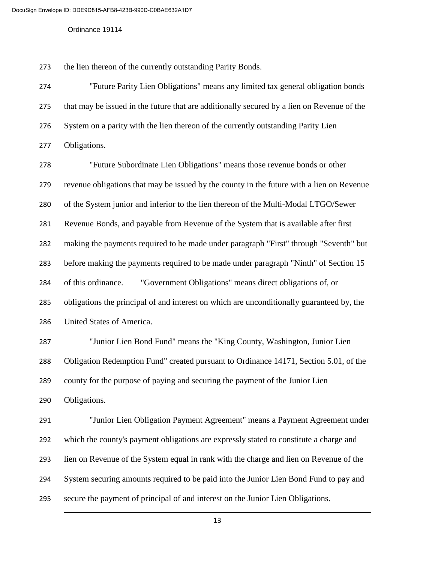the lien thereon of the currently outstanding Parity Bonds.

 "Future Parity Lien Obligations" means any limited tax general obligation bonds that may be issued in the future that are additionally secured by a lien on Revenue of the System on a parity with the lien thereon of the currently outstanding Parity Lien Obligations.

 "Future Subordinate Lien Obligations" means those revenue bonds or other revenue obligations that may be issued by the county in the future with a lien on Revenue of the System junior and inferior to the lien thereon of the Multi-Modal LTGO/Sewer Revenue Bonds, and payable from Revenue of the System that is available after first making the payments required to be made under paragraph "First" through "Seventh" but before making the payments required to be made under paragraph "Ninth" of Section 15 of this ordinance. "Government Obligations" means direct obligations of, or obligations the principal of and interest on which are unconditionally guaranteed by, the United States of America.

 "Junior Lien Bond Fund" means the "King County, Washington, Junior Lien Obligation Redemption Fund" created pursuant to Ordinance 14171, Section 5.01, of the county for the purpose of paying and securing the payment of the Junior Lien Obligations.

 "Junior Lien Obligation Payment Agreement" means a Payment Agreement under which the county's payment obligations are expressly stated to constitute a charge and lien on Revenue of the System equal in rank with the charge and lien on Revenue of the System securing amounts required to be paid into the Junior Lien Bond Fund to pay and secure the payment of principal of and interest on the Junior Lien Obligations.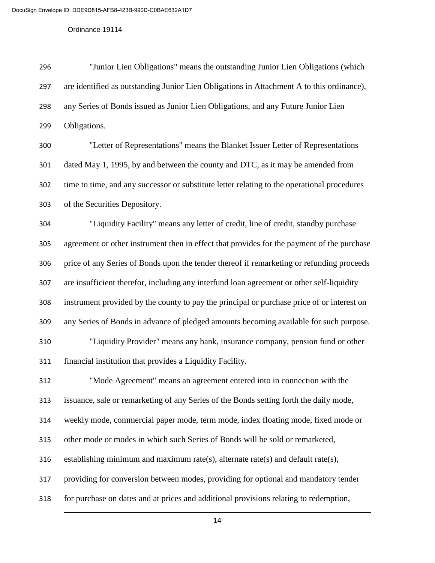| 296 | "Junior Lien Obligations" means the outstanding Junior Lien Obligations (which              |
|-----|---------------------------------------------------------------------------------------------|
| 297 | are identified as outstanding Junior Lien Obligations in Attachment A to this ordinance),   |
| 298 | any Series of Bonds issued as Junior Lien Obligations, and any Future Junior Lien           |
| 299 | Obligations.                                                                                |
| 300 | "Letter of Representations" means the Blanket Issuer Letter of Representations              |
| 301 | dated May 1, 1995, by and between the county and DTC, as it may be amended from             |
| 302 | time to time, and any successor or substitute letter relating to the operational procedures |
| 303 | of the Securities Depository.                                                               |
| 304 | "Liquidity Facility" means any letter of credit, line of credit, standby purchase           |
| 305 | agreement or other instrument then in effect that provides for the payment of the purchase  |
| 306 | price of any Series of Bonds upon the tender thereof if remarketing or refunding proceeds   |
| 307 | are insufficient therefor, including any interfund loan agreement or other self-liquidity   |
| 308 | instrument provided by the county to pay the principal or purchase price of or interest on  |
| 309 | any Series of Bonds in advance of pledged amounts becoming available for such purpose.      |
| 310 | "Liquidity Provider" means any bank, insurance company, pension fund or other               |
| 311 | financial institution that provides a Liquidity Facility.                                   |
| 312 | "Mode Agreement" means an agreement entered into in connection with the                     |
| 313 | issuance, sale or remarketing of any Series of the Bonds setting forth the daily mode,      |
| 314 | weekly mode, commercial paper mode, term mode, index floating mode, fixed mode or           |
| 315 | other mode or modes in which such Series of Bonds will be sold or remarketed,               |
| 316 | establishing minimum and maximum rate(s), alternate rate(s) and default rate(s),            |
| 317 | providing for conversion between modes, providing for optional and mandatory tender         |
| 318 | for purchase on dates and at prices and additional provisions relating to redemption,       |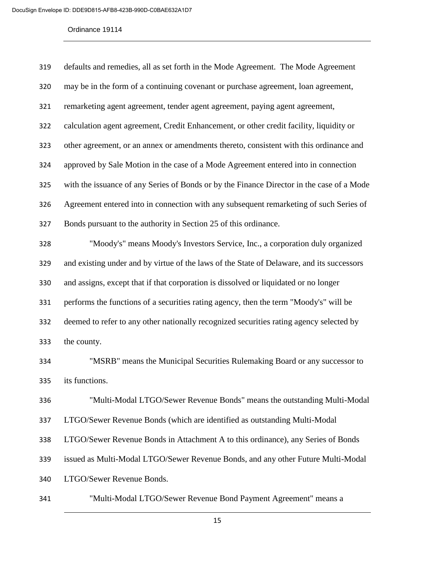| 319 | defaults and remedies, all as set forth in the Mode Agreement. The Mode Agreement         |
|-----|-------------------------------------------------------------------------------------------|
| 320 | may be in the form of a continuing covenant or purchase agreement, loan agreement,        |
| 321 | remarketing agent agreement, tender agent agreement, paying agent agreement,              |
| 322 | calculation agent agreement, Credit Enhancement, or other credit facility, liquidity or   |
| 323 | other agreement, or an annex or amendments thereto, consistent with this ordinance and    |
| 324 | approved by Sale Motion in the case of a Mode Agreement entered into in connection        |
| 325 | with the issuance of any Series of Bonds or by the Finance Director in the case of a Mode |
| 326 | Agreement entered into in connection with any subsequent remarketing of such Series of    |
| 327 | Bonds pursuant to the authority in Section 25 of this ordinance.                          |
| 328 | "Moody's" means Moody's Investors Service, Inc., a corporation duly organized             |
| 329 | and existing under and by virtue of the laws of the State of Delaware, and its successors |
| 330 | and assigns, except that if that corporation is dissolved or liquidated or no longer      |
| 331 | performs the functions of a securities rating agency, then the term "Moody's" will be     |
| 332 | deemed to refer to any other nationally recognized securities rating agency selected by   |
| 333 | the county.                                                                               |
| 334 | "MSRB" means the Municipal Securities Rulemaking Board or any successor to                |
| 335 | its functions.                                                                            |
| 336 | "Multi-Modal LTGO/Sewer Revenue Bonds" means the outstanding Multi-Modal                  |
| 337 | LTGO/Sewer Revenue Bonds (which are identified as outstanding Multi-Modal                 |
| 338 | LTGO/Sewer Revenue Bonds in Attachment A to this ordinance), any Series of Bonds          |
| 339 | issued as Multi-Modal LTGO/Sewer Revenue Bonds, and any other Future Multi-Modal          |
| 340 | LTGO/Sewer Revenue Bonds.                                                                 |
| 341 | "Multi-Modal LTGO/Sewer Revenue Bond Payment Agreement" means a                           |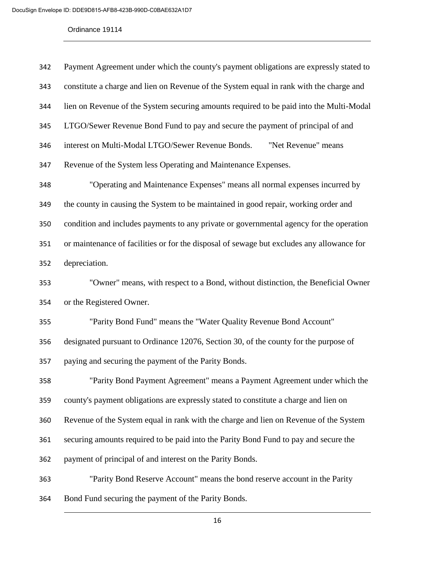| 342 | Payment Agreement under which the county's payment obligations are expressly stated to    |
|-----|-------------------------------------------------------------------------------------------|
| 343 | constitute a charge and lien on Revenue of the System equal in rank with the charge and   |
| 344 | lien on Revenue of the System securing amounts required to be paid into the Multi-Modal   |
| 345 | LTGO/Sewer Revenue Bond Fund to pay and secure the payment of principal of and            |
| 346 | interest on Multi-Modal LTGO/Sewer Revenue Bonds.<br>"Net Revenue" means                  |
| 347 | Revenue of the System less Operating and Maintenance Expenses.                            |
| 348 | "Operating and Maintenance Expenses" means all normal expenses incurred by                |
| 349 | the county in causing the System to be maintained in good repair, working order and       |
| 350 | condition and includes payments to any private or governmental agency for the operation   |
| 351 | or maintenance of facilities or for the disposal of sewage but excludes any allowance for |
| 352 | depreciation.                                                                             |
| 353 | "Owner" means, with respect to a Bond, without distinction, the Beneficial Owner          |
| 354 | or the Registered Owner.                                                                  |
| 355 | "Parity Bond Fund" means the "Water Quality Revenue Bond Account"                         |
| 356 | designated pursuant to Ordinance 12076, Section 30, of the county for the purpose of      |
| 357 | paying and securing the payment of the Parity Bonds.                                      |
| 358 | "Parity Bond Payment Agreement" means a Payment Agreement under which the                 |
| 359 | county's payment obligations are expressly stated to constitute a charge and lien on      |
| 360 | Revenue of the System equal in rank with the charge and lien on Revenue of the System     |
| 361 | securing amounts required to be paid into the Parity Bond Fund to pay and secure the      |
| 362 | payment of principal of and interest on the Parity Bonds.                                 |
| 363 | "Parity Bond Reserve Account" means the bond reserve account in the Parity                |
| 364 | Bond Fund securing the payment of the Parity Bonds.                                       |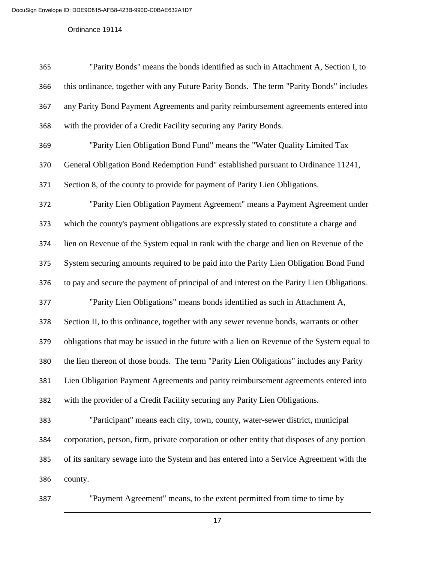| 365 | "Parity Bonds" means the bonds identified as such in Attachment A, Section I, to            |
|-----|---------------------------------------------------------------------------------------------|
| 366 | this ordinance, together with any Future Parity Bonds. The term "Parity Bonds" includes     |
| 367 | any Parity Bond Payment Agreements and parity reimbursement agreements entered into         |
| 368 | with the provider of a Credit Facility securing any Parity Bonds.                           |
| 369 | "Parity Lien Obligation Bond Fund" means the "Water Quality Limited Tax                     |
| 370 | General Obligation Bond Redemption Fund" established pursuant to Ordinance 11241,           |
| 371 | Section 8, of the county to provide for payment of Parity Lien Obligations.                 |
| 372 | "Parity Lien Obligation Payment Agreement" means a Payment Agreement under                  |
| 373 | which the county's payment obligations are expressly stated to constitute a charge and      |
| 374 | lien on Revenue of the System equal in rank with the charge and lien on Revenue of the      |
| 375 | System securing amounts required to be paid into the Parity Lien Obligation Bond Fund       |
| 376 | to pay and secure the payment of principal of and interest on the Parity Lien Obligations.  |
| 377 | "Parity Lien Obligations" means bonds identified as such in Attachment A,                   |
| 378 | Section II, to this ordinance, together with any sewer revenue bonds, warrants or other     |
| 379 | obligations that may be issued in the future with a lien on Revenue of the System equal to  |
| 380 | the lien thereon of those bonds. The term "Parity Lien Obligations" includes any Parity     |
| 381 | Lien Obligation Payment Agreements and parity reimbursement agreements entered into         |
| 382 | with the provider of a Credit Facility securing any Parity Lien Obligations.                |
| 383 | "Participant" means each city, town, county, water-sewer district, municipal                |
| 384 | corporation, person, firm, private corporation or other entity that disposes of any portion |
| 385 | of its sanitary sewage into the System and has entered into a Service Agreement with the    |
| 386 | county.                                                                                     |
|     |                                                                                             |

"Payment Agreement" means, to the extent permitted from time to time by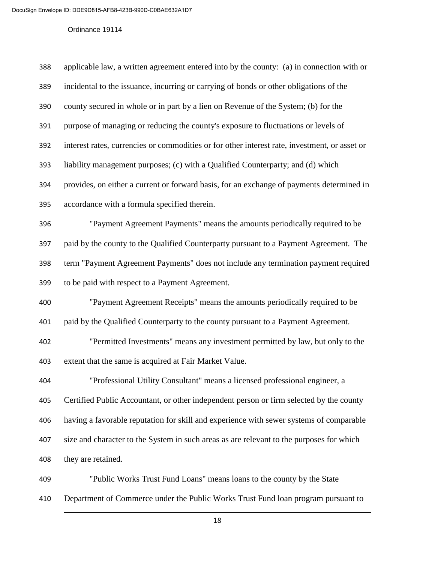| 388 | applicable law, a written agreement entered into by the county: (a) in connection with or     |
|-----|-----------------------------------------------------------------------------------------------|
| 389 | incidental to the issuance, incurring or carrying of bonds or other obligations of the        |
| 390 | county secured in whole or in part by a lien on Revenue of the System; (b) for the            |
| 391 | purpose of managing or reducing the county's exposure to fluctuations or levels of            |
| 392 | interest rates, currencies or commodities or for other interest rate, investment, or asset or |
| 393 | liability management purposes; (c) with a Qualified Counterparty; and (d) which               |
| 394 | provides, on either a current or forward basis, for an exchange of payments determined in     |
| 395 | accordance with a formula specified therein.                                                  |
| 396 | "Payment Agreement Payments" means the amounts periodically required to be                    |
| 397 | paid by the county to the Qualified Counterparty pursuant to a Payment Agreement. The         |
| 398 | term "Payment Agreement Payments" does not include any termination payment required           |
| 399 | to be paid with respect to a Payment Agreement.                                               |
| 400 | "Payment Agreement Receipts" means the amounts periodically required to be                    |
| 401 | paid by the Qualified Counterparty to the county pursuant to a Payment Agreement.             |
| 402 | "Permitted Investments" means any investment permitted by law, but only to the                |
| 403 | extent that the same is acquired at Fair Market Value.                                        |
| 404 | "Professional Utility Consultant" means a licensed professional engineer, a                   |
| 405 | Certified Public Accountant, or other independent person or firm selected by the county       |
| 406 | having a favorable reputation for skill and experience with sewer systems of comparable       |
| 407 | size and character to the System in such areas as are relevant to the purposes for which      |
| 408 | they are retained.                                                                            |
| 409 | "Public Works Trust Fund Loans" means loans to the county by the State                        |

Department of Commerce under the Public Works Trust Fund loan program pursuant to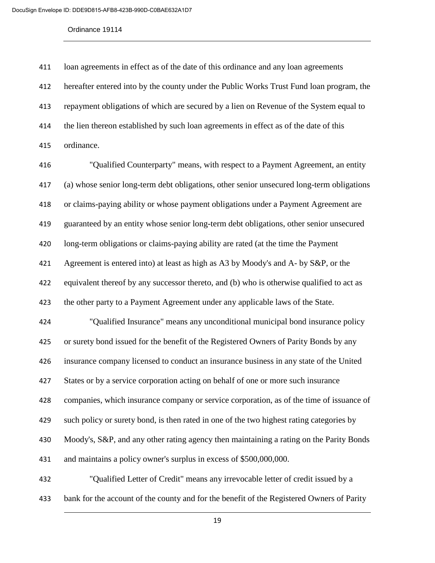loan agreements in effect as of the date of this ordinance and any loan agreements hereafter entered into by the county under the Public Works Trust Fund loan program, the repayment obligations of which are secured by a lien on Revenue of the System equal to the lien thereon established by such loan agreements in effect as of the date of this ordinance.

 "Qualified Counterparty" means, with respect to a Payment Agreement, an entity (a) whose senior long-term debt obligations, other senior unsecured long-term obligations or claims-paying ability or whose payment obligations under a Payment Agreement are guaranteed by an entity whose senior long-term debt obligations, other senior unsecured long-term obligations or claims-paying ability are rated (at the time the Payment Agreement is entered into) at least as high as A3 by Moody's and A- by S&P, or the equivalent thereof by any successor thereto, and (b) who is otherwise qualified to act as the other party to a Payment Agreement under any applicable laws of the State. "Qualified Insurance" means any unconditional municipal bond insurance policy or surety bond issued for the benefit of the Registered Owners of Parity Bonds by any insurance company licensed to conduct an insurance business in any state of the United States or by a service corporation acting on behalf of one or more such insurance companies, which insurance company or service corporation, as of the time of issuance of such policy or surety bond, is then rated in one of the two highest rating categories by Moody's, S&P, and any other rating agency then maintaining a rating on the Parity Bonds and maintains a policy owner's surplus in excess of \$500,000,000. "Qualified Letter of Credit" means any irrevocable letter of credit issued by a

bank for the account of the county and for the benefit of the Registered Owners of Parity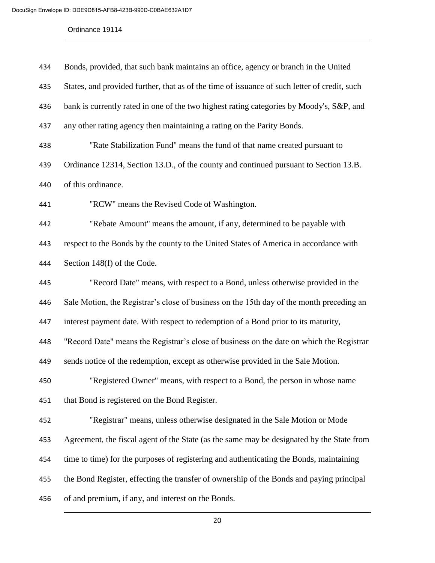| 434 | Bonds, provided, that such bank maintains an office, agency or branch in the United          |
|-----|----------------------------------------------------------------------------------------------|
| 435 | States, and provided further, that as of the time of issuance of such letter of credit, such |
| 436 | bank is currently rated in one of the two highest rating categories by Moody's, S&P, and     |
| 437 | any other rating agency then maintaining a rating on the Parity Bonds.                       |
| 438 | "Rate Stabilization Fund" means the fund of that name created pursuant to                    |
| 439 | Ordinance 12314, Section 13.D., of the county and continued pursuant to Section 13.B.        |
| 440 | of this ordinance.                                                                           |
| 441 | "RCW" means the Revised Code of Washington.                                                  |
| 442 | "Rebate Amount" means the amount, if any, determined to be payable with                      |
| 443 | respect to the Bonds by the county to the United States of America in accordance with        |
| 444 | Section 148(f) of the Code.                                                                  |
| 445 | "Record Date" means, with respect to a Bond, unless otherwise provided in the                |
| 446 | Sale Motion, the Registrar's close of business on the 15th day of the month preceding an     |
| 447 | interest payment date. With respect to redemption of a Bond prior to its maturity,           |
| 448 | "Record Date" means the Registrar's close of business on the date on which the Registrar     |
| 449 | sends notice of the redemption, except as otherwise provided in the Sale Motion.             |
| 450 | "Registered Owner" means, with respect to a Bond, the person in whose name                   |
| 451 | that Bond is registered on the Bond Register.                                                |
| 452 | "Registrar" means, unless otherwise designated in the Sale Motion or Mode                    |
| 453 | Agreement, the fiscal agent of the State (as the same may be designated by the State from    |
| 454 | time to time) for the purposes of registering and authenticating the Bonds, maintaining      |
| 455 | the Bond Register, effecting the transfer of ownership of the Bonds and paying principal     |
| 456 | of and premium, if any, and interest on the Bonds.                                           |
|     |                                                                                              |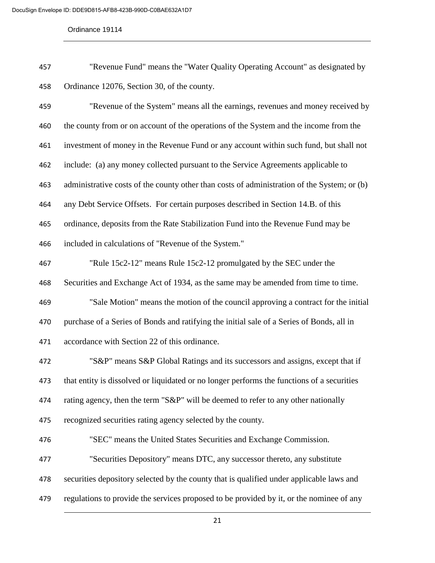| 457 | "Revenue Fund" means the "Water Quality Operating Account" as designated by |
|-----|-----------------------------------------------------------------------------|
| 458 | Ordinance 12076, Section 30, of the county.                                 |

 "Revenue of the System" means all the earnings, revenues and money received by the county from or on account of the operations of the System and the income from the investment of money in the Revenue Fund or any account within such fund, but shall not include: (a) any money collected pursuant to the Service Agreements applicable to administrative costs of the county other than costs of administration of the System; or (b) any Debt Service Offsets. For certain purposes described in Section 14.B. of this ordinance, deposits from the Rate Stabilization Fund into the Revenue Fund may be included in calculations of "Revenue of the System." "Rule 15c2-12" means Rule 15c2-12 promulgated by the SEC under the Securities and Exchange Act of 1934, as the same may be amended from time to time. "Sale Motion" means the motion of the council approving a contract for the initial purchase of a Series of Bonds and ratifying the initial sale of a Series of Bonds, all in accordance with Section 22 of this ordinance. "S&P" means S&P Global Ratings and its successors and assigns, except that if that entity is dissolved or liquidated or no longer performs the functions of a securities

474 rating agency, then the term "S&P" will be deemed to refer to any other nationally

recognized securities rating agency selected by the county.

- "SEC" means the United States Securities and Exchange Commission.
- "Securities Depository" means DTC, any successor thereto, any substitute
- securities depository selected by the county that is qualified under applicable laws and
- regulations to provide the services proposed to be provided by it, or the nominee of any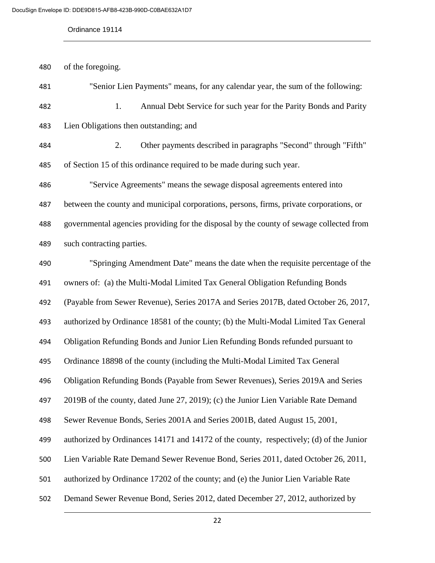of the foregoing.

| 481 | "Senior Lien Payments" means, for any calendar year, the sum of the following:          |
|-----|-----------------------------------------------------------------------------------------|
| 482 | Annual Debt Service for such year for the Parity Bonds and Parity<br>1.                 |
| 483 | Lien Obligations then outstanding; and                                                  |
| 484 | 2.<br>Other payments described in paragraphs "Second" through "Fifth"                   |
| 485 | of Section 15 of this ordinance required to be made during such year.                   |
| 486 | "Service Agreements" means the sewage disposal agreements entered into                  |
| 487 | between the county and municipal corporations, persons, firms, private corporations, or |
| 488 | governmental agencies providing for the disposal by the county of sewage collected from |
| 489 | such contracting parties.                                                               |
| 490 | "Springing Amendment Date" means the date when the requisite percentage of the          |
| 491 | owners of: (a) the Multi-Modal Limited Tax General Obligation Refunding Bonds           |
| 492 | (Payable from Sewer Revenue), Series 2017A and Series 2017B, dated October 26, 2017,    |
| 493 | authorized by Ordinance 18581 of the county; (b) the Multi-Modal Limited Tax General    |
| 494 | Obligation Refunding Bonds and Junior Lien Refunding Bonds refunded pursuant to         |
| 495 | Ordinance 18898 of the county (including the Multi-Modal Limited Tax General            |
| 496 | Obligation Refunding Bonds (Payable from Sewer Revenues), Series 2019A and Series       |
| 497 | 2019B of the county, dated June 27, 2019); (c) the Junior Lien Variable Rate Demand     |
| 498 | Sewer Revenue Bonds, Series 2001A and Series 2001B, dated August 15, 2001,              |
| 499 | authorized by Ordinances 14171 and 14172 of the county, respectively; (d) of the Junior |
| 500 | Lien Variable Rate Demand Sewer Revenue Bond, Series 2011, dated October 26, 2011,      |
| 501 | authorized by Ordinance 17202 of the county; and (e) the Junior Lien Variable Rate      |
| 502 | Demand Sewer Revenue Bond, Series 2012, dated December 27, 2012, authorized by          |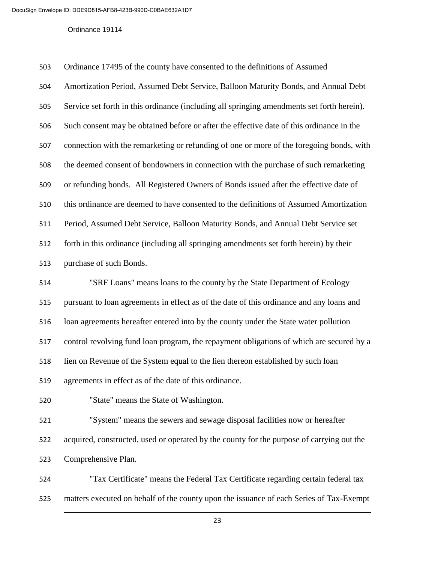| 503 | Ordinance 17495 of the county have consented to the definitions of Assumed                 |
|-----|--------------------------------------------------------------------------------------------|
| 504 | Amortization Period, Assumed Debt Service, Balloon Maturity Bonds, and Annual Debt         |
| 505 | Service set forth in this ordinance (including all springing amendments set forth herein). |
| 506 | Such consent may be obtained before or after the effective date of this ordinance in the   |
| 507 | connection with the remarketing or refunding of one or more of the foregoing bonds, with   |
| 508 | the deemed consent of bondowners in connection with the purchase of such remarketing       |
| 509 | or refunding bonds. All Registered Owners of Bonds issued after the effective date of      |
| 510 | this ordinance are deemed to have consented to the definitions of Assumed Amortization     |
| 511 | Period, Assumed Debt Service, Balloon Maturity Bonds, and Annual Debt Service set          |
| 512 | forth in this ordinance (including all springing amendments set forth herein) by their     |
| 513 | purchase of such Bonds.                                                                    |
| 514 | "SRF Loans" means loans to the county by the State Department of Ecology                   |
| 515 | pursuant to loan agreements in effect as of the date of this ordinance and any loans and   |
| 516 | loan agreements hereafter entered into by the county under the State water pollution       |
| 517 | control revolving fund loan program, the repayment obligations of which are secured by a   |
| 518 | lien on Revenue of the System equal to the lien thereon established by such loan           |
| 519 | agreements in effect as of the date of this ordinance.                                     |
| 520 | "State" means the State of Washington.                                                     |
| 521 | "System" means the sewers and sewage disposal facilities now or hereafter                  |
| 522 | acquired, constructed, used or operated by the county for the purpose of carrying out the  |
| 523 | Comprehensive Plan.                                                                        |
| 524 | "Tax Certificate" means the Federal Tax Certificate regarding certain federal tax          |

matters executed on behalf of the county upon the issuance of each Series of Tax-Exempt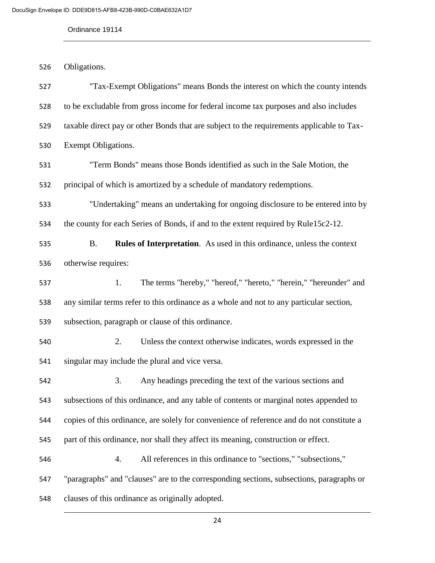Obligations.

 "Tax-Exempt Obligations" means Bonds the interest on which the county intends to be excludable from gross income for federal income tax purposes and also includes taxable direct pay or other Bonds that are subject to the requirements applicable to Tax- Exempt Obligations. "Term Bonds" means those Bonds identified as such in the Sale Motion, the principal of which is amortized by a schedule of mandatory redemptions. "Undertaking" means an undertaking for ongoing disclosure to be entered into by the county for each Series of Bonds, if and to the extent required by Rule15c2-12. B. **Rules of Interpretation**. As used in this ordinance, unless the context otherwise requires: 1. The terms "hereby," "hereof," "hereto," "herein," "hereunder" and any similar terms refer to this ordinance as a whole and not to any particular section, subsection, paragraph or clause of this ordinance. 2. Unless the context otherwise indicates, words expressed in the singular may include the plural and vice versa. 3. Any headings preceding the text of the various sections and subsections of this ordinance, and any table of contents or marginal notes appended to copies of this ordinance, are solely for convenience of reference and do not constitute a part of this ordinance, nor shall they affect its meaning, construction or effect. 4. All references in this ordinance to "sections," "subsections," "paragraphs" and "clauses" are to the corresponding sections, subsections, paragraphs or clauses of this ordinance as originally adopted.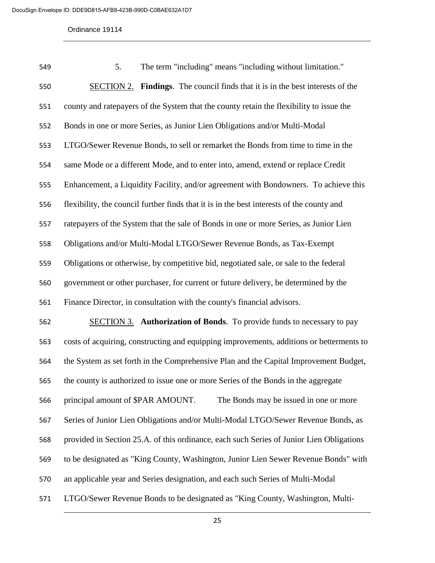| 549 | The term "including" means "including without limitation."<br>5.                          |
|-----|-------------------------------------------------------------------------------------------|
| 550 | <b>SECTION 2.</b> Findings. The council finds that it is in the best interests of the     |
| 551 | county and ratepayers of the System that the county retain the flexibility to issue the   |
| 552 | Bonds in one or more Series, as Junior Lien Obligations and/or Multi-Modal                |
| 553 | LTGO/Sewer Revenue Bonds, to sell or remarket the Bonds from time to time in the          |
| 554 | same Mode or a different Mode, and to enter into, amend, extend or replace Credit         |
| 555 | Enhancement, a Liquidity Facility, and/or agreement with Bondowners. To achieve this      |
| 556 | flexibility, the council further finds that it is in the best interests of the county and |
| 557 | ratepayers of the System that the sale of Bonds in one or more Series, as Junior Lien     |
| 558 | Obligations and/or Multi-Modal LTGO/Sewer Revenue Bonds, as Tax-Exempt                    |
| 559 | Obligations or otherwise, by competitive bid, negotiated sale, or sale to the federal     |
| 560 | government or other purchaser, for current or future delivery, be determined by the       |
| 561 | Finance Director, in consultation with the county's financial advisors.                   |
| 562 | <b>SECTION 3.</b> Authorization of Bonds. To provide funds to necessary to pay            |
| 563 | costs of acquiring, constructing and equipping improvements, additions or betterments to  |
| 564 | the System as set forth in the Comprehensive Plan and the Capital Improvement Budget,     |
| 565 | the county is authorized to issue one or more Series of the Bonds in the aggregate        |
| 566 | principal amount of \$PAR AMOUNT.<br>The Bonds may be issued in one or more               |
| 567 | Series of Junior Lien Obligations and/or Multi-Modal LTGO/Sewer Revenue Bonds, as         |
| 568 | provided in Section 25.A. of this ordinance, each such Series of Junior Lien Obligations  |
| 569 | to be designated as "King County, Washington, Junior Lien Sewer Revenue Bonds" with       |
| 570 | an applicable year and Series designation, and each such Series of Multi-Modal            |
| 571 | LTGO/Sewer Revenue Bonds to be designated as "King County, Washington, Multi-             |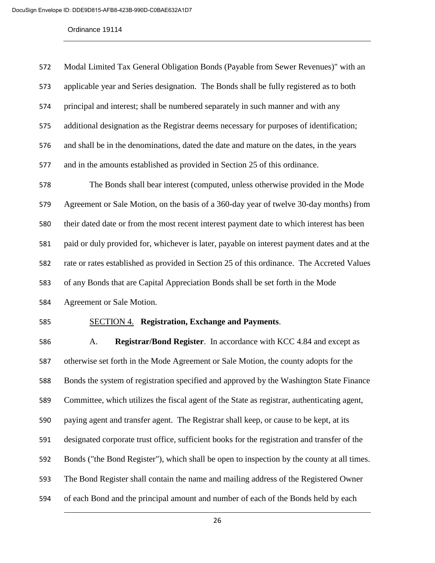| 572 | Modal Limited Tax General Obligation Bonds (Payable from Sewer Revenues)" with an            |
|-----|----------------------------------------------------------------------------------------------|
| 573 | applicable year and Series designation. The Bonds shall be fully registered as to both       |
| 574 | principal and interest; shall be numbered separately in such manner and with any             |
| 575 | additional designation as the Registrar deems necessary for purposes of identification;      |
| 576 | and shall be in the denominations, dated the date and mature on the dates, in the years      |
| 577 | and in the amounts established as provided in Section 25 of this ordinance.                  |
| 578 | The Bonds shall bear interest (computed, unless otherwise provided in the Mode               |
| 579 | Agreement or Sale Motion, on the basis of a 360-day year of twelve 30-day months) from       |
| 580 | their dated date or from the most recent interest payment date to which interest has been    |
| 581 | paid or duly provided for, whichever is later, payable on interest payment dates and at the  |
| 582 | rate or rates established as provided in Section 25 of this ordinance. The Accreted Values   |
| 583 | of any Bonds that are Capital Appreciation Bonds shall be set forth in the Mode              |
| 584 | Agreement or Sale Motion.                                                                    |
| 585 | <b>SECTION 4. Registration, Exchange and Payments.</b>                                       |
| 586 | Registrar/Bond Register. In accordance with KCC 4.84 and except as<br>A.                     |
| 587 | otherwise set forth in the Mode Agreement or Sale Motion, the county adopts for the          |
| 588 | Bonds the system of registration specified and approved by the Washington State Finance      |
|     |                                                                                              |
| 589 | Committee, which utilizes the fiscal agent of the State as registrar, authenticating agent,  |
| 590 | paying agent and transfer agent. The Registrar shall keep, or cause to be kept, at its       |
| 591 | designated corporate trust office, sufficient books for the registration and transfer of the |

- The Bond Register shall contain the name and mailing address of the Registered Owner
- of each Bond and the principal amount and number of each of the Bonds held by each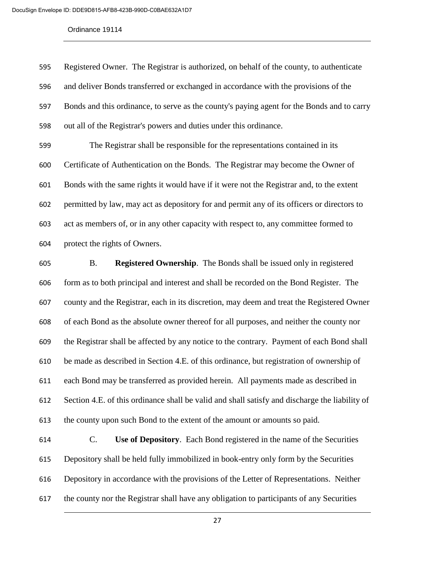Registered Owner. The Registrar is authorized, on behalf of the county, to authenticate and deliver Bonds transferred or exchanged in accordance with the provisions of the Bonds and this ordinance, to serve as the county's paying agent for the Bonds and to carry out all of the Registrar's powers and duties under this ordinance. The Registrar shall be responsible for the representations contained in its Certificate of Authentication on the Bonds. The Registrar may become the Owner of Bonds with the same rights it would have if it were not the Registrar and, to the extent permitted by law, may act as depository for and permit any of its officers or directors to act as members of, or in any other capacity with respect to, any committee formed to protect the rights of Owners.

 B. **Registered Ownership**. The Bonds shall be issued only in registered form as to both principal and interest and shall be recorded on the Bond Register. The county and the Registrar, each in its discretion, may deem and treat the Registered Owner of each Bond as the absolute owner thereof for all purposes, and neither the county nor the Registrar shall be affected by any notice to the contrary. Payment of each Bond shall be made as described in Section 4.E. of this ordinance, but registration of ownership of each Bond may be transferred as provided herein. All payments made as described in Section 4.E. of this ordinance shall be valid and shall satisfy and discharge the liability of the county upon such Bond to the extent of the amount or amounts so paid.

 C. **Use of Depository**. Each Bond registered in the name of the Securities Depository shall be held fully immobilized in book-entry only form by the Securities Depository in accordance with the provisions of the Letter of Representations. Neither the county nor the Registrar shall have any obligation to participants of any Securities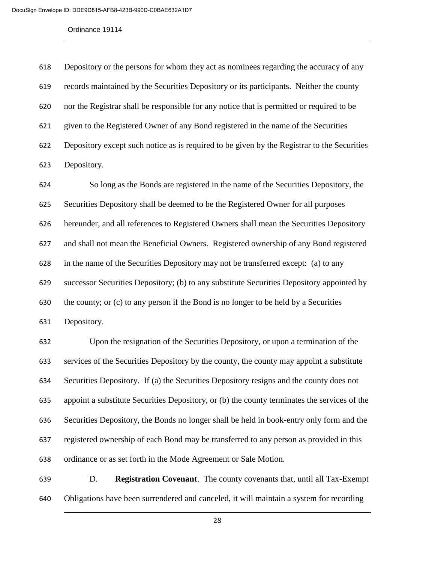Depository or the persons for whom they act as nominees regarding the accuracy of any records maintained by the Securities Depository or its participants. Neither the county nor the Registrar shall be responsible for any notice that is permitted or required to be given to the Registered Owner of any Bond registered in the name of the Securities Depository except such notice as is required to be given by the Registrar to the Securities Depository.

 So long as the Bonds are registered in the name of the Securities Depository, the Securities Depository shall be deemed to be the Registered Owner for all purposes hereunder, and all references to Registered Owners shall mean the Securities Depository and shall not mean the Beneficial Owners. Registered ownership of any Bond registered in the name of the Securities Depository may not be transferred except: (a) to any successor Securities Depository; (b) to any substitute Securities Depository appointed by the county; or (c) to any person if the Bond is no longer to be held by a Securities Depository.

 Upon the resignation of the Securities Depository, or upon a termination of the services of the Securities Depository by the county, the county may appoint a substitute Securities Depository. If (a) the Securities Depository resigns and the county does not appoint a substitute Securities Depository, or (b) the county terminates the services of the Securities Depository, the Bonds no longer shall be held in book-entry only form and the registered ownership of each Bond may be transferred to any person as provided in this ordinance or as set forth in the Mode Agreement or Sale Motion.

 D. **Registration Covenant**. The county covenants that, until all Tax-Exempt Obligations have been surrendered and canceled, it will maintain a system for recording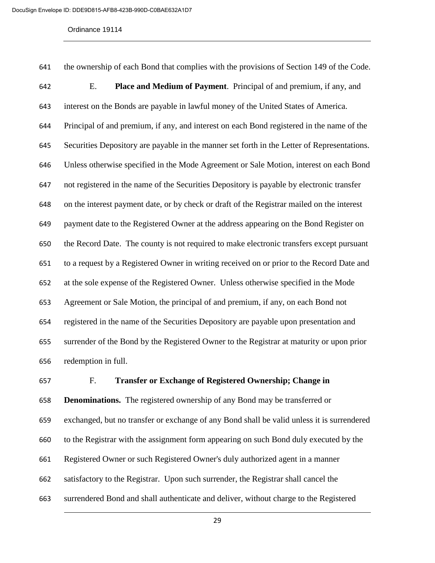the ownership of each Bond that complies with the provisions of Section 149 of the Code. E. **Place and Medium of Payment**. Principal of and premium, if any, and interest on the Bonds are payable in lawful money of the United States of America. Principal of and premium, if any, and interest on each Bond registered in the name of the Securities Depository are payable in the manner set forth in the Letter of Representations. Unless otherwise specified in the Mode Agreement or Sale Motion, interest on each Bond not registered in the name of the Securities Depository is payable by electronic transfer on the interest payment date, or by check or draft of the Registrar mailed on the interest payment date to the Registered Owner at the address appearing on the Bond Register on the Record Date. The county is not required to make electronic transfers except pursuant to a request by a Registered Owner in writing received on or prior to the Record Date and at the sole expense of the Registered Owner. Unless otherwise specified in the Mode Agreement or Sale Motion, the principal of and premium, if any, on each Bond not registered in the name of the Securities Depository are payable upon presentation and surrender of the Bond by the Registered Owner to the Registrar at maturity or upon prior redemption in full.

 F. **Transfer or Exchange of Registered Ownership; Change in Denominations.** The registered ownership of any Bond may be transferred or exchanged, but no transfer or exchange of any Bond shall be valid unless it is surrendered to the Registrar with the assignment form appearing on such Bond duly executed by the Registered Owner or such Registered Owner's duly authorized agent in a manner satisfactory to the Registrar. Upon such surrender, the Registrar shall cancel the surrendered Bond and shall authenticate and deliver, without charge to the Registered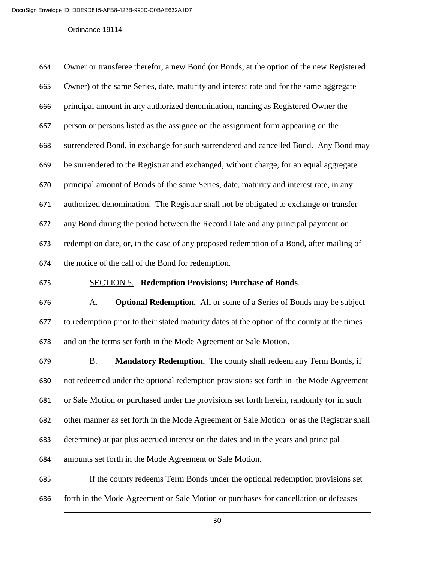| 664 | Owner or transferee therefor, a new Bond (or Bonds, at the option of the new Registered |
|-----|-----------------------------------------------------------------------------------------|
| 665 | Owner) of the same Series, date, maturity and interest rate and for the same aggregate  |
| 666 | principal amount in any authorized denomination, naming as Registered Owner the         |
| 667 | person or persons listed as the assignee on the assignment form appearing on the        |
| 668 | surrendered Bond, in exchange for such surrendered and cancelled Bond. Any Bond may     |
| 669 | be surrendered to the Registrar and exchanged, without charge, for an equal aggregate   |
| 670 | principal amount of Bonds of the same Series, date, maturity and interest rate, in any  |
| 671 | authorized denomination. The Registrar shall not be obligated to exchange or transfer   |
| 672 | any Bond during the period between the Record Date and any principal payment or         |
| 673 | redemption date, or, in the case of any proposed redemption of a Bond, after mailing of |
| 674 | the notice of the call of the Bond for redemption.                                      |

# SECTION 5. **Redemption Provisions; Purchase of Bonds**.

 A. **Optional Redemption.** All or some of a Series of Bonds may be subject to redemption prior to their stated maturity dates at the option of the county at the times and on the terms set forth in the Mode Agreement or Sale Motion.

 B. **Mandatory Redemption.** The county shall redeem any Term Bonds, if not redeemed under the optional redemption provisions set forth in the Mode Agreement or Sale Motion or purchased under the provisions set forth herein, randomly (or in such other manner as set forth in the Mode Agreement or Sale Motion or as the Registrar shall determine) at par plus accrued interest on the dates and in the years and principal amounts set forth in the Mode Agreement or Sale Motion. If the county redeems Term Bonds under the optional redemption provisions set

forth in the Mode Agreement or Sale Motion or purchases for cancellation or defeases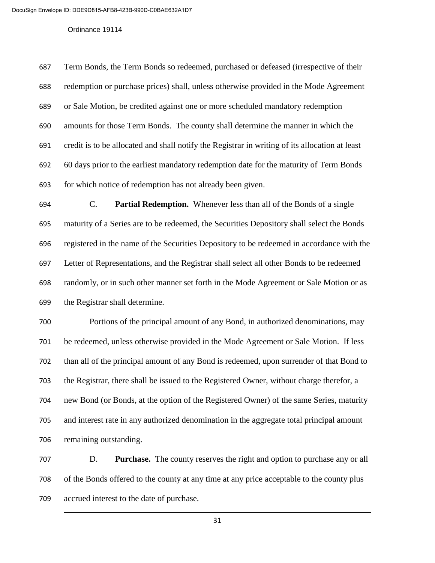Term Bonds, the Term Bonds so redeemed, purchased or defeased (irrespective of their redemption or purchase prices) shall, unless otherwise provided in the Mode Agreement or Sale Motion, be credited against one or more scheduled mandatory redemption amounts for those Term Bonds. The county shall determine the manner in which the credit is to be allocated and shall notify the Registrar in writing of its allocation at least 60 days prior to the earliest mandatory redemption date for the maturity of Term Bonds for which notice of redemption has not already been given.

 C. **Partial Redemption.** Whenever less than all of the Bonds of a single maturity of a Series are to be redeemed, the Securities Depository shall select the Bonds registered in the name of the Securities Depository to be redeemed in accordance with the Letter of Representations, and the Registrar shall select all other Bonds to be redeemed randomly, or in such other manner set forth in the Mode Agreement or Sale Motion or as the Registrar shall determine.

 Portions of the principal amount of any Bond, in authorized denominations, may be redeemed, unless otherwise provided in the Mode Agreement or Sale Motion. If less than all of the principal amount of any Bond is redeemed, upon surrender of that Bond to the Registrar, there shall be issued to the Registered Owner, without charge therefor, a new Bond (or Bonds, at the option of the Registered Owner) of the same Series, maturity and interest rate in any authorized denomination in the aggregate total principal amount remaining outstanding.

 D. **Purchase.** The county reserves the right and option to purchase any or all of the Bonds offered to the county at any time at any price acceptable to the county plus accrued interest to the date of purchase.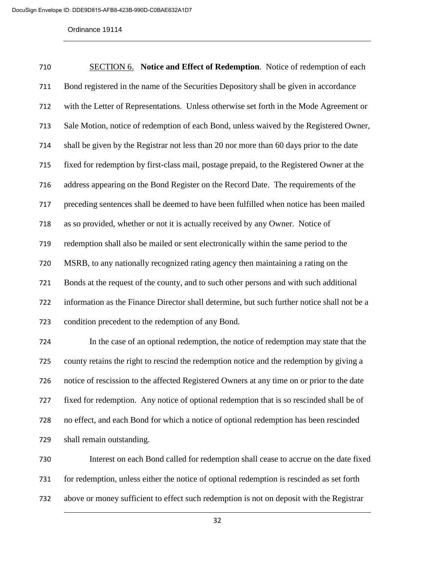SECTION 6. **Notice and Effect of Redemption**. Notice of redemption of each Bond registered in the name of the Securities Depository shall be given in accordance with the Letter of Representations. Unless otherwise set forth in the Mode Agreement or Sale Motion, notice of redemption of each Bond, unless waived by the Registered Owner, shall be given by the Registrar not less than 20 nor more than 60 days prior to the date fixed for redemption by first-class mail, postage prepaid, to the Registered Owner at the address appearing on the Bond Register on the Record Date. The requirements of the preceding sentences shall be deemed to have been fulfilled when notice has been mailed as so provided, whether or not it is actually received by any Owner. Notice of redemption shall also be mailed or sent electronically within the same period to the MSRB, to any nationally recognized rating agency then maintaining a rating on the Bonds at the request of the county, and to such other persons and with such additional information as the Finance Director shall determine, but such further notice shall not be a condition precedent to the redemption of any Bond.

 In the case of an optional redemption, the notice of redemption may state that the county retains the right to rescind the redemption notice and the redemption by giving a notice of rescission to the affected Registered Owners at any time on or prior to the date fixed for redemption. Any notice of optional redemption that is so rescinded shall be of no effect, and each Bond for which a notice of optional redemption has been rescinded shall remain outstanding.

 Interest on each Bond called for redemption shall cease to accrue on the date fixed for redemption, unless either the notice of optional redemption is rescinded as set forth above or money sufficient to effect such redemption is not on deposit with the Registrar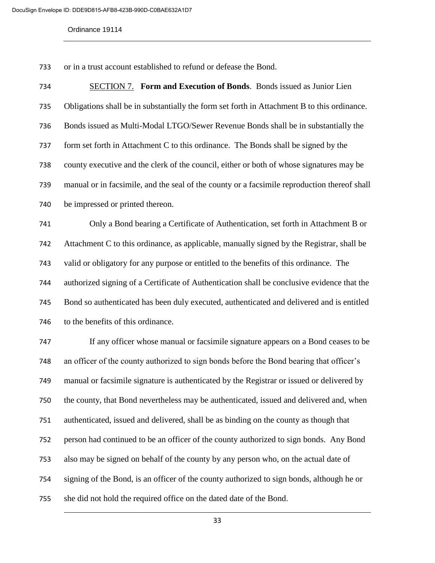or in a trust account established to refund or defease the Bond.

| 734 | <b>SECTION 7. Form and Execution of Bonds.</b> Bonds issued as Junior Lien                   |
|-----|----------------------------------------------------------------------------------------------|
| 735 | Obligations shall be in substantially the form set forth in Attachment B to this ordinance.  |
| 736 | Bonds issued as Multi-Modal LTGO/Sewer Revenue Bonds shall be in substantially the           |
| 737 | form set forth in Attachment C to this ordinance. The Bonds shall be signed by the           |
| 738 | county executive and the clerk of the council, either or both of whose signatures may be     |
| 739 | manual or in facsimile, and the seal of the county or a facsimile reproduction thereof shall |
| 740 | be impressed or printed thereon.                                                             |
| 741 | Only a Bond bearing a Certificate of Authentication, set forth in Attachment B or            |
| 742 | Attachment C to this ordinance, as applicable, manually signed by the Registrar, shall be    |
| 743 | valid or obligatory for any purpose or entitled to the benefits of this ordinance. The       |
| 744 | authorized signing of a Certificate of Authentication shall be conclusive evidence that the  |
| 745 | Bond so authenticated has been duly executed, authenticated and delivered and is entitled    |
| 746 | to the benefits of this ordinance.                                                           |
| 747 | If any officer whose manual or facsimile signature appears on a Bond ceases to be            |
| 748 | an officer of the county authorized to sign bonds before the Bond bearing that officer's     |
| 749 | manual or facsimile signature is authenticated by the Registrar or issued or delivered by    |
| 750 | the county, that Bond nevertheless may be authenticated, issued and delivered and, when      |
| 751 | authenticated, issued and delivered, shall be as binding on the county as though that        |
| 752 | person had continued to be an officer of the county authorized to sign bonds. Any Bond       |
| 753 | also may be signed on behalf of the county by any person who, on the actual date of          |
|     |                                                                                              |

signing of the Bond, is an officer of the county authorized to sign bonds, although he or

she did not hold the required office on the dated date of the Bond.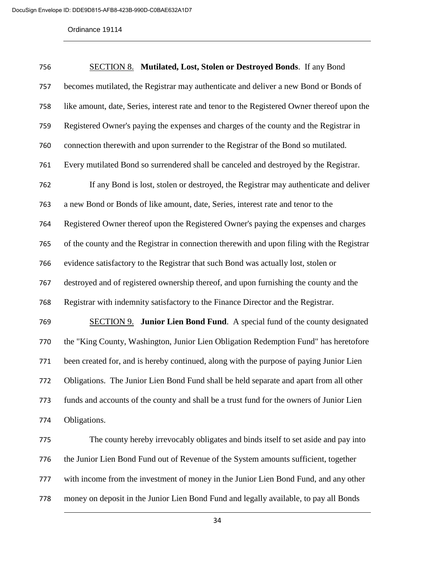| 756 | <b>SECTION 8.</b> Mutilated, Lost, Stolen or Destroyed Bonds. If any Bond                   |
|-----|---------------------------------------------------------------------------------------------|
| 757 | becomes mutilated, the Registrar may authenticate and deliver a new Bond or Bonds of        |
| 758 | like amount, date, Series, interest rate and tenor to the Registered Owner thereof upon the |
| 759 | Registered Owner's paying the expenses and charges of the county and the Registrar in       |
| 760 | connection therewith and upon surrender to the Registrar of the Bond so mutilated.          |
| 761 | Every mutilated Bond so surrendered shall be canceled and destroyed by the Registrar.       |
| 762 | If any Bond is lost, stolen or destroyed, the Registrar may authenticate and deliver        |
| 763 | a new Bond or Bonds of like amount, date, Series, interest rate and tenor to the            |
| 764 | Registered Owner thereof upon the Registered Owner's paying the expenses and charges        |
| 765 | of the county and the Registrar in connection therewith and upon filing with the Registrar  |
| 766 | evidence satisfactory to the Registrar that such Bond was actually lost, stolen or          |
| 767 | destroyed and of registered ownership thereof, and upon furnishing the county and the       |
| 768 | Registrar with indemnity satisfactory to the Finance Director and the Registrar.            |
| 769 | <b>SECTION 9.</b> Junior Lien Bond Fund. A special fund of the county designated            |
| 770 | the "King County, Washington, Junior Lien Obligation Redemption Fund" has heretofore        |
| 771 | been created for, and is hereby continued, along with the purpose of paying Junior Lien     |
| 772 | Obligations. The Junior Lien Bond Fund shall be held separate and apart from all other      |
| 773 | funds and accounts of the county and shall be a trust fund for the owners of Junior Lien    |
| 774 | Obligations.                                                                                |
| 775 | The county hereby irrevocably obligates and binds itself to set aside and pay into          |
| 776 | the Junior Lien Bond Fund out of Revenue of the System amounts sufficient, together         |
| 777 | with income from the investment of money in the Junior Lien Bond Fund, and any other        |
| 778 | money on deposit in the Junior Lien Bond Fund and legally available, to pay all Bonds       |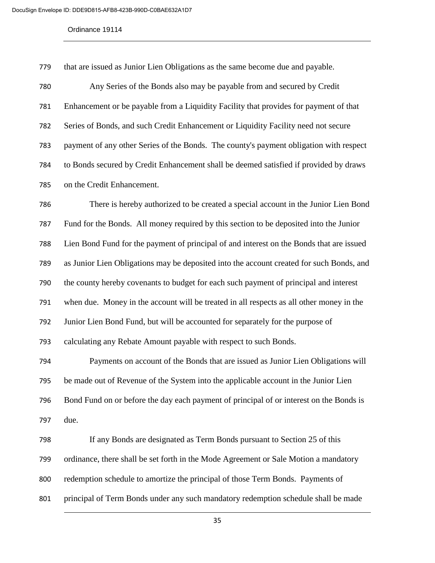that are issued as Junior Lien Obligations as the same become due and payable. Any Series of the Bonds also may be payable from and secured by Credit Enhancement or be payable from a Liquidity Facility that provides for payment of that Series of Bonds, and such Credit Enhancement or Liquidity Facility need not secure payment of any other Series of the Bonds. The county's payment obligation with respect to Bonds secured by Credit Enhancement shall be deemed satisfied if provided by draws on the Credit Enhancement.

 There is hereby authorized to be created a special account in the Junior Lien Bond Fund for the Bonds. All money required by this section to be deposited into the Junior Lien Bond Fund for the payment of principal of and interest on the Bonds that are issued as Junior Lien Obligations may be deposited into the account created for such Bonds, and the county hereby covenants to budget for each such payment of principal and interest when due. Money in the account will be treated in all respects as all other money in the Junior Lien Bond Fund, but will be accounted for separately for the purpose of calculating any Rebate Amount payable with respect to such Bonds.

 Payments on account of the Bonds that are issued as Junior Lien Obligations will be made out of Revenue of the System into the applicable account in the Junior Lien Bond Fund on or before the day each payment of principal of or interest on the Bonds is due.

 If any Bonds are designated as Term Bonds pursuant to Section 25 of this ordinance, there shall be set forth in the Mode Agreement or Sale Motion a mandatory redemption schedule to amortize the principal of those Term Bonds. Payments of principal of Term Bonds under any such mandatory redemption schedule shall be made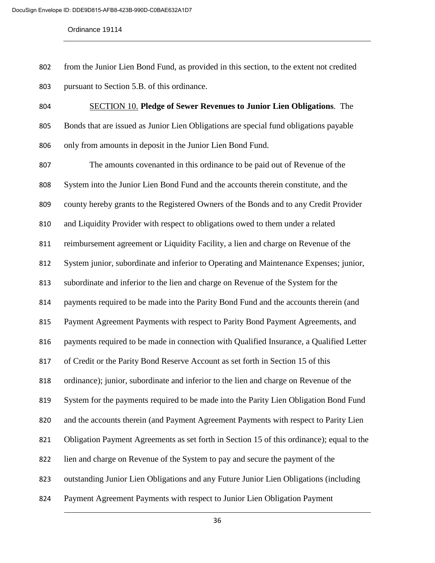from the Junior Lien Bond Fund, as provided in this section, to the extent not credited pursuant to Section 5.B. of this ordinance.

 SECTION 10. **Pledge of Sewer Revenues to Junior Lien Obligations**. The Bonds that are issued as Junior Lien Obligations are special fund obligations payable only from amounts in deposit in the Junior Lien Bond Fund.

 The amounts covenanted in this ordinance to be paid out of Revenue of the System into the Junior Lien Bond Fund and the accounts therein constitute, and the county hereby grants to the Registered Owners of the Bonds and to any Credit Provider and Liquidity Provider with respect to obligations owed to them under a related reimbursement agreement or Liquidity Facility, a lien and charge on Revenue of the System junior, subordinate and inferior to Operating and Maintenance Expenses; junior, subordinate and inferior to the lien and charge on Revenue of the System for the payments required to be made into the Parity Bond Fund and the accounts therein (and Payment Agreement Payments with respect to Parity Bond Payment Agreements, and payments required to be made in connection with Qualified Insurance, a Qualified Letter of Credit or the Parity Bond Reserve Account as set forth in Section 15 of this ordinance); junior, subordinate and inferior to the lien and charge on Revenue of the System for the payments required to be made into the Parity Lien Obligation Bond Fund and the accounts therein (and Payment Agreement Payments with respect to Parity Lien Obligation Payment Agreements as set forth in Section 15 of this ordinance); equal to the lien and charge on Revenue of the System to pay and secure the payment of the outstanding Junior Lien Obligations and any Future Junior Lien Obligations (including Payment Agreement Payments with respect to Junior Lien Obligation Payment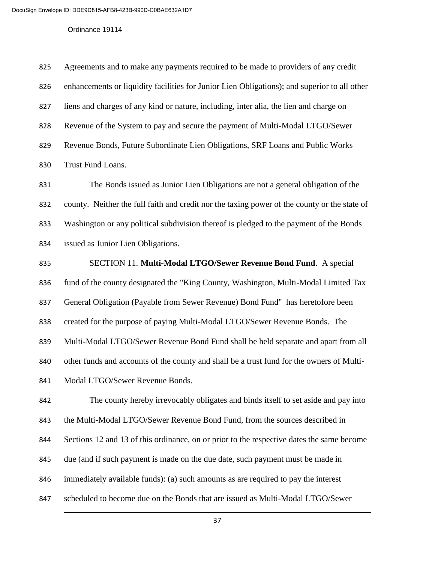| 825 | Agreements and to make any payments required to be made to providers of any credit           |
|-----|----------------------------------------------------------------------------------------------|
| 826 | enhancements or liquidity facilities for Junior Lien Obligations); and superior to all other |
| 827 | liens and charges of any kind or nature, including, inter alia, the lien and charge on       |
| 828 | Revenue of the System to pay and secure the payment of Multi-Modal LTGO/Sewer                |
| 829 | Revenue Bonds, Future Subordinate Lien Obligations, SRF Loans and Public Works               |
| 830 | Trust Fund Loans.                                                                            |

 The Bonds issued as Junior Lien Obligations are not a general obligation of the county. Neither the full faith and credit nor the taxing power of the county or the state of Washington or any political subdivision thereof is pledged to the payment of the Bonds issued as Junior Lien Obligations.

# SECTION 11. **Multi-Modal LTGO/Sewer Revenue Bond Fund**. A special

fund of the county designated the "King County, Washington, Multi-Modal Limited Tax

General Obligation (Payable from Sewer Revenue) Bond Fund" has heretofore been

created for the purpose of paying Multi-Modal LTGO/Sewer Revenue Bonds. The

Multi-Modal LTGO/Sewer Revenue Bond Fund shall be held separate and apart from all

other funds and accounts of the county and shall be a trust fund for the owners of Multi-

Modal LTGO/Sewer Revenue Bonds.

 The county hereby irrevocably obligates and binds itself to set aside and pay into the Multi-Modal LTGO/Sewer Revenue Bond Fund, from the sources described in Sections 12 and 13 of this ordinance, on or prior to the respective dates the same become due (and if such payment is made on the due date, such payment must be made in immediately available funds): (a) such amounts as are required to pay the interest scheduled to become due on the Bonds that are issued as Multi-Modal LTGO/Sewer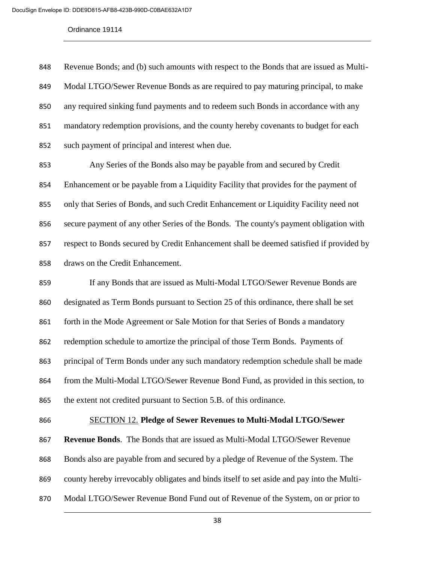Revenue Bonds; and (b) such amounts with respect to the Bonds that are issued as Multi- Modal LTGO/Sewer Revenue Bonds as are required to pay maturing principal, to make any required sinking fund payments and to redeem such Bonds in accordance with any mandatory redemption provisions, and the county hereby covenants to budget for each such payment of principal and interest when due.

 Any Series of the Bonds also may be payable from and secured by Credit Enhancement or be payable from a Liquidity Facility that provides for the payment of only that Series of Bonds, and such Credit Enhancement or Liquidity Facility need not secure payment of any other Series of the Bonds. The county's payment obligation with respect to Bonds secured by Credit Enhancement shall be deemed satisfied if provided by draws on the Credit Enhancement.

859 If any Bonds that are issued as Multi-Modal LTGO/Sewer Revenue Bonds are designated as Term Bonds pursuant to Section 25 of this ordinance, there shall be set 861 forth in the Mode Agreement or Sale Motion for that Series of Bonds a mandatory redemption schedule to amortize the principal of those Term Bonds. Payments of principal of Term Bonds under any such mandatory redemption schedule shall be made from the Multi-Modal LTGO/Sewer Revenue Bond Fund, as provided in this section, to the extent not credited pursuant to Section 5.B. of this ordinance.

## SECTION 12. **Pledge of Sewer Revenues to Multi-Modal LTGO/Sewer**

**Revenue Bonds**. The Bonds that are issued as Multi-Modal LTGO/Sewer Revenue

Bonds also are payable from and secured by a pledge of Revenue of the System. The

county hereby irrevocably obligates and binds itself to set aside and pay into the Multi-

Modal LTGO/Sewer Revenue Bond Fund out of Revenue of the System, on or prior to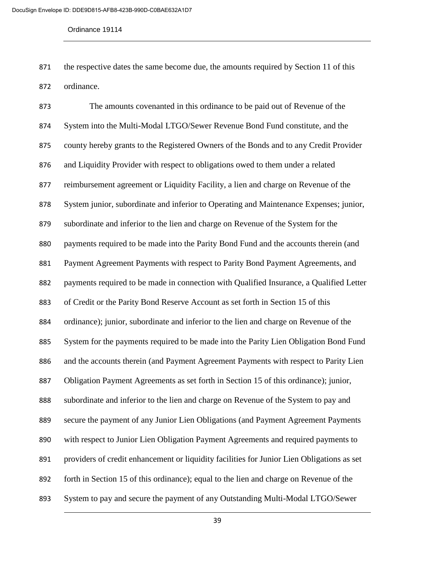the respective dates the same become due, the amounts required by Section 11 of this ordinance.

 The amounts covenanted in this ordinance to be paid out of Revenue of the System into the Multi-Modal LTGO/Sewer Revenue Bond Fund constitute, and the county hereby grants to the Registered Owners of the Bonds and to any Credit Provider and Liquidity Provider with respect to obligations owed to them under a related reimbursement agreement or Liquidity Facility, a lien and charge on Revenue of the System junior, subordinate and inferior to Operating and Maintenance Expenses; junior, subordinate and inferior to the lien and charge on Revenue of the System for the payments required to be made into the Parity Bond Fund and the accounts therein (and Payment Agreement Payments with respect to Parity Bond Payment Agreements, and payments required to be made in connection with Qualified Insurance, a Qualified Letter of Credit or the Parity Bond Reserve Account as set forth in Section 15 of this ordinance); junior, subordinate and inferior to the lien and charge on Revenue of the System for the payments required to be made into the Parity Lien Obligation Bond Fund and the accounts therein (and Payment Agreement Payments with respect to Parity Lien Obligation Payment Agreements as set forth in Section 15 of this ordinance); junior, subordinate and inferior to the lien and charge on Revenue of the System to pay and secure the payment of any Junior Lien Obligations (and Payment Agreement Payments with respect to Junior Lien Obligation Payment Agreements and required payments to providers of credit enhancement or liquidity facilities for Junior Lien Obligations as set forth in Section 15 of this ordinance); equal to the lien and charge on Revenue of the System to pay and secure the payment of any Outstanding Multi-Modal LTGO/Sewer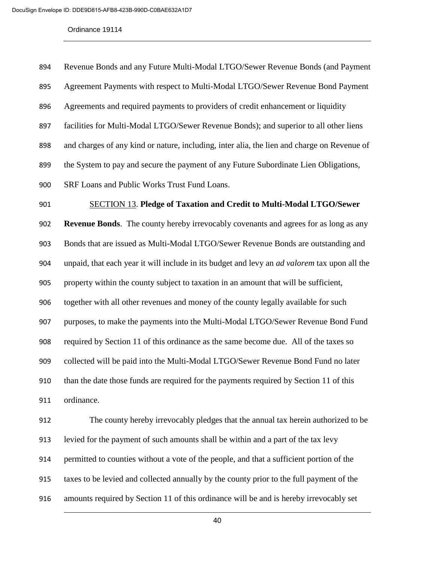| 894 | Revenue Bonds and any Future Multi-Modal LTGO/Sewer Revenue Bonds (and Payment                      |
|-----|-----------------------------------------------------------------------------------------------------|
| 895 | Agreement Payments with respect to Multi-Modal LTGO/Sewer Revenue Bond Payment                      |
| 896 | Agreements and required payments to providers of credit enhancement or liquidity                    |
| 897 | facilities for Multi-Modal LTGO/Sewer Revenue Bonds); and superior to all other liens               |
| 898 | and charges of any kind or nature, including, inter alia, the lien and charge on Revenue of         |
| 899 | the System to pay and secure the payment of any Future Subordinate Lien Obligations,                |
| 900 | SRF Loans and Public Works Trust Fund Loans.                                                        |
| 901 | <b>SECTION 13. Pledge of Taxation and Credit to Multi-Modal LTGO/Sewer</b>                          |
| 902 | <b>Revenue Bonds.</b> The county hereby irrevocably covenants and agrees for as long as any         |
| 903 | Bonds that are issued as Multi-Modal LTGO/Sewer Revenue Bonds are outstanding and                   |
| 904 | unpaid, that each year it will include in its budget and levy an <i>ad valorem</i> tax upon all the |
| 905 | property within the county subject to taxation in an amount that will be sufficient,                |
| 906 | together with all other revenues and money of the county legally available for such                 |
| 907 | purposes, to make the payments into the Multi-Modal LTGO/Sewer Revenue Bond Fund                    |
| 908 | required by Section 11 of this ordinance as the same become due. All of the taxes so                |
| 909 | collected will be paid into the Multi-Modal LTGO/Sewer Revenue Bond Fund no later                   |
| 910 | than the date those funds are required for the payments required by Section 11 of this              |
| 911 | ordinance.                                                                                          |
| 912 | The county hereby irrevocably pledges that the annual tax herein authorized to be                   |
| 913 | levied for the payment of such amounts shall be within and a part of the tax levy                   |
| 914 | permitted to counties without a vote of the people, and that a sufficient portion of the            |

taxes to be levied and collected annually by the county prior to the full payment of the

amounts required by Section 11 of this ordinance will be and is hereby irrevocably set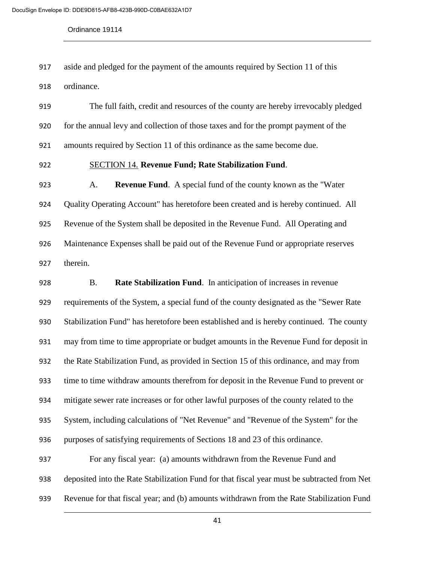aside and pledged for the payment of the amounts required by Section 11 of this

ordinance.

 The full faith, credit and resources of the county are hereby irrevocably pledged for the annual levy and collection of those taxes and for the prompt payment of the amounts required by Section 11 of this ordinance as the same become due.

## SECTION 14. **Revenue Fund; Rate Stabilization Fund**.

 A. **Revenue Fund**. A special fund of the county known as the "Water Quality Operating Account" has heretofore been created and is hereby continued. All Revenue of the System shall be deposited in the Revenue Fund. All Operating and Maintenance Expenses shall be paid out of the Revenue Fund or appropriate reserves therein.

 B. **Rate Stabilization Fund**. In anticipation of increases in revenue requirements of the System, a special fund of the county designated as the "Sewer Rate Stabilization Fund" has heretofore been established and is hereby continued. The county may from time to time appropriate or budget amounts in the Revenue Fund for deposit in the Rate Stabilization Fund, as provided in Section 15 of this ordinance, and may from time to time withdraw amounts therefrom for deposit in the Revenue Fund to prevent or mitigate sewer rate increases or for other lawful purposes of the county related to the System, including calculations of "Net Revenue" and "Revenue of the System" for the purposes of satisfying requirements of Sections 18 and 23 of this ordinance. For any fiscal year: (a) amounts withdrawn from the Revenue Fund and

 deposited into the Rate Stabilization Fund for that fiscal year must be subtracted from Net Revenue for that fiscal year; and (b) amounts withdrawn from the Rate Stabilization Fund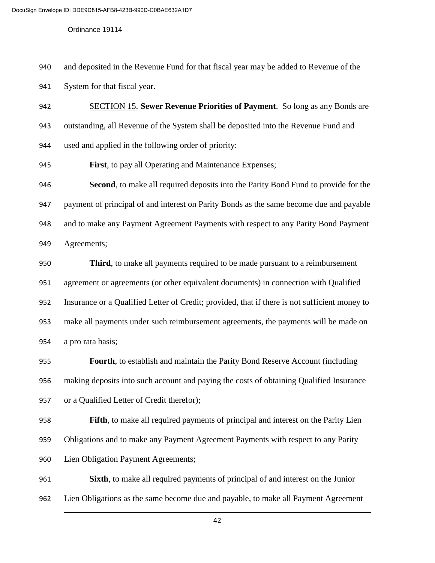- and deposited in the Revenue Fund for that fiscal year may be added to Revenue of the
- System for that fiscal year.
- SECTION 15. **Sewer Revenue Priorities of Payment**. So long as any Bonds are outstanding, all Revenue of the System shall be deposited into the Revenue Fund and used and applied in the following order of priority:
- **First**, to pay all Operating and Maintenance Expenses;

 **Second**, to make all required deposits into the Parity Bond Fund to provide for the payment of principal of and interest on Parity Bonds as the same become due and payable and to make any Payment Agreement Payments with respect to any Parity Bond Payment Agreements;

 **Third**, to make all payments required to be made pursuant to a reimbursement agreement or agreements (or other equivalent documents) in connection with Qualified Insurance or a Qualified Letter of Credit; provided, that if there is not sufficient money to make all payments under such reimbursement agreements, the payments will be made on a pro rata basis;

 **Fourth**, to establish and maintain the Parity Bond Reserve Account (including making deposits into such account and paying the costs of obtaining Qualified Insurance or a Qualified Letter of Credit therefor);

 **Fifth**, to make all required payments of principal and interest on the Parity Lien Obligations and to make any Payment Agreement Payments with respect to any Parity Lien Obligation Payment Agreements;

 **Sixth**, to make all required payments of principal of and interest on the Junior Lien Obligations as the same become due and payable, to make all Payment Agreement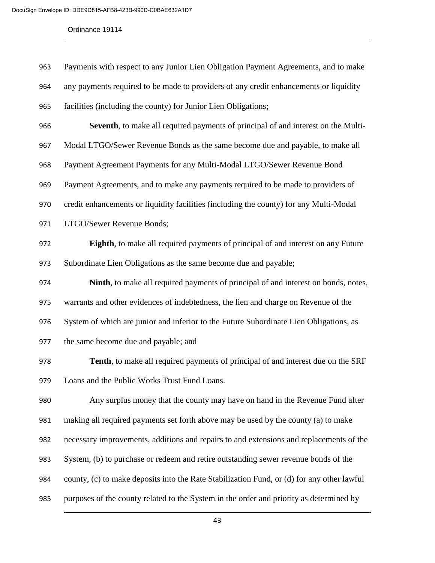| 963 | Payments with respect to any Junior Lien Obligation Payment Agreements, and to make        |
|-----|--------------------------------------------------------------------------------------------|
| 964 | any payments required to be made to providers of any credit enhancements or liquidity      |
| 965 | facilities (including the county) for Junior Lien Obligations;                             |
| 966 | Seventh, to make all required payments of principal of and interest on the Multi-          |
| 967 | Modal LTGO/Sewer Revenue Bonds as the same become due and payable, to make all             |
| 968 | Payment Agreement Payments for any Multi-Modal LTGO/Sewer Revenue Bond                     |
| 969 | Payment Agreements, and to make any payments required to be made to providers of           |
| 970 | credit enhancements or liquidity facilities (including the county) for any Multi-Modal     |
| 971 | LTGO/Sewer Revenue Bonds;                                                                  |
| 972 | Eighth, to make all required payments of principal of and interest on any Future           |
| 973 | Subordinate Lien Obligations as the same become due and payable;                           |
| 974 | Ninth, to make all required payments of principal of and interest on bonds, notes,         |
| 975 | warrants and other evidences of indebtedness, the lien and charge on Revenue of the        |
| 976 | System of which are junior and inferior to the Future Subordinate Lien Obligations, as     |
| 977 | the same become due and payable; and                                                       |
| 978 | <b>Tenth</b> , to make all required payments of principal of and interest due on the SRF   |
| 979 | Loans and the Public Works Trust Fund Loans.                                               |
| 980 | Any surplus money that the county may have on hand in the Revenue Fund after               |
| 981 | making all required payments set forth above may be used by the county (a) to make         |
| 982 | necessary improvements, additions and repairs to and extensions and replacements of the    |
| 983 | System, (b) to purchase or redeem and retire outstanding sewer revenue bonds of the        |
| 984 | county, (c) to make deposits into the Rate Stabilization Fund, or (d) for any other lawful |
| 985 | purposes of the county related to the System in the order and priority as determined by    |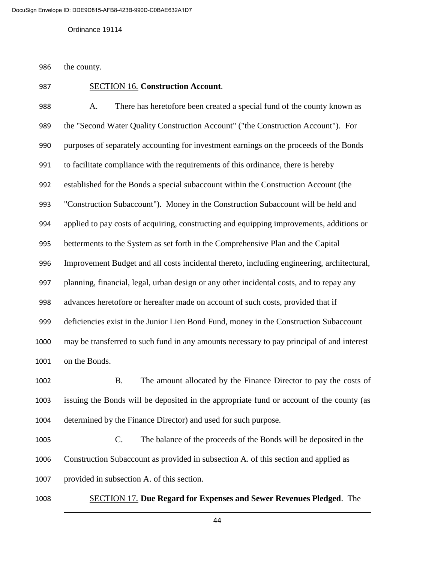the county.

# SECTION 16. **Construction Account**.

 A. There has heretofore been created a special fund of the county known as the "Second Water Quality Construction Account" ("the Construction Account"). For purposes of separately accounting for investment earnings on the proceeds of the Bonds to facilitate compliance with the requirements of this ordinance, there is hereby established for the Bonds a special subaccount within the Construction Account (the "Construction Subaccount"). Money in the Construction Subaccount will be held and applied to pay costs of acquiring, constructing and equipping improvements, additions or betterments to the System as set forth in the Comprehensive Plan and the Capital Improvement Budget and all costs incidental thereto, including engineering, architectural, planning, financial, legal, urban design or any other incidental costs, and to repay any advances heretofore or hereafter made on account of such costs, provided that if deficiencies exist in the Junior Lien Bond Fund, money in the Construction Subaccount may be transferred to such fund in any amounts necessary to pay principal of and interest on the Bonds.

 B. The amount allocated by the Finance Director to pay the costs of issuing the Bonds will be deposited in the appropriate fund or account of the county (as determined by the Finance Director) and used for such purpose.

 C. The balance of the proceeds of the Bonds will be deposited in the Construction Subaccount as provided in subsection A. of this section and applied as provided in subsection A. of this section.

SECTION 17. **Due Regard for Expenses and Sewer Revenues Pledged**. The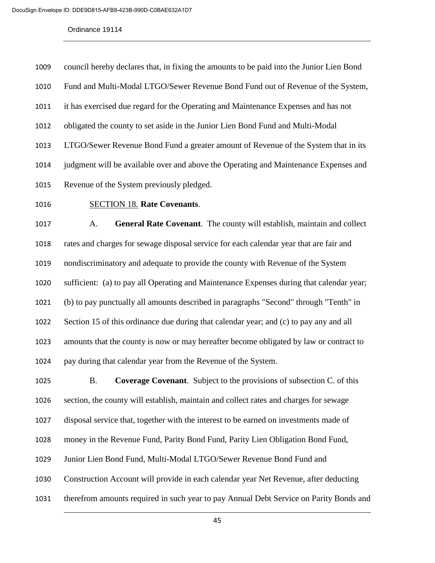| 1009 | council hereby declares that, in fixing the amounts to be paid into the Junior Lien Bond |
|------|------------------------------------------------------------------------------------------|
| 1010 | Fund and Multi-Modal LTGO/Sewer Revenue Bond Fund out of Revenue of the System,          |
| 1011 | it has exercised due regard for the Operating and Maintenance Expenses and has not       |
| 1012 | obligated the county to set aside in the Junior Lien Bond Fund and Multi-Modal           |
| 1013 | LTGO/Sewer Revenue Bond Fund a greater amount of Revenue of the System that in its       |
| 1014 | judgment will be available over and above the Operating and Maintenance Expenses and     |
| 1015 | Revenue of the System previously pledged.                                                |

## SECTION 18. **Rate Covenants**.

 A. **General Rate Covenant**. The county will establish, maintain and collect rates and charges for sewage disposal service for each calendar year that are fair and nondiscriminatory and adequate to provide the county with Revenue of the System sufficient: (a) to pay all Operating and Maintenance Expenses during that calendar year; (b) to pay punctually all amounts described in paragraphs "Second" through "Tenth" in Section 15 of this ordinance due during that calendar year; and (c) to pay any and all amounts that the county is now or may hereafter become obligated by law or contract to pay during that calendar year from the Revenue of the System.

 B. **Coverage Covenant**. Subject to the provisions of subsection C. of this section, the county will establish, maintain and collect rates and charges for sewage disposal service that, together with the interest to be earned on investments made of money in the Revenue Fund, Parity Bond Fund, Parity Lien Obligation Bond Fund, Junior Lien Bond Fund, Multi-Modal LTGO/Sewer Revenue Bond Fund and Construction Account will provide in each calendar year Net Revenue, after deducting therefrom amounts required in such year to pay Annual Debt Service on Parity Bonds and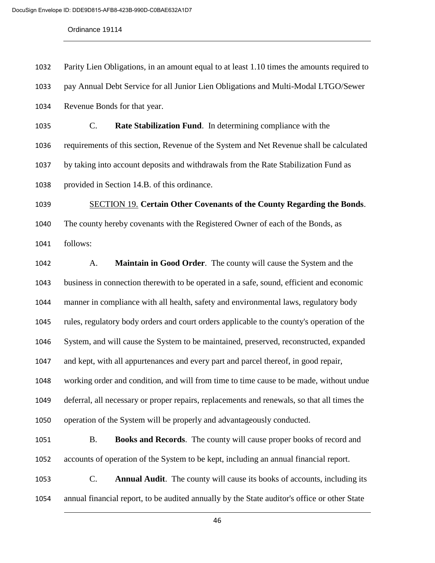Parity Lien Obligations, in an amount equal to at least 1.10 times the amounts required to pay Annual Debt Service for all Junior Lien Obligations and Multi-Modal LTGO/Sewer

Revenue Bonds for that year.

 C. **Rate Stabilization Fund**. In determining compliance with the requirements of this section, Revenue of the System and Net Revenue shall be calculated by taking into account deposits and withdrawals from the Rate Stabilization Fund as provided in Section 14.B. of this ordinance.

 SECTION 19. **Certain Other Covenants of the County Regarding the Bonds**. The county hereby covenants with the Registered Owner of each of the Bonds, as follows:

 A. **Maintain in Good Order**. The county will cause the System and the business in connection therewith to be operated in a safe, sound, efficient and economic manner in compliance with all health, safety and environmental laws, regulatory body rules, regulatory body orders and court orders applicable to the county's operation of the System, and will cause the System to be maintained, preserved, reconstructed, expanded and kept, with all appurtenances and every part and parcel thereof, in good repair, working order and condition, and will from time to time cause to be made, without undue deferral, all necessary or proper repairs, replacements and renewals, so that all times the operation of the System will be properly and advantageously conducted.

 B. **Books and Records**. The county will cause proper books of record and accounts of operation of the System to be kept, including an annual financial report.

 C. **Annual Audit**. The county will cause its books of accounts, including its annual financial report, to be audited annually by the State auditor's office or other State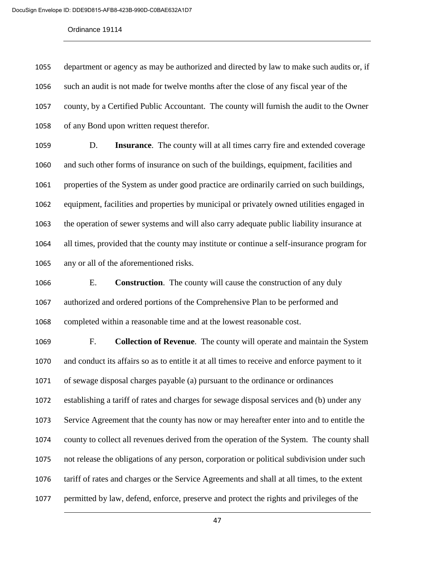department or agency as may be authorized and directed by law to make such audits or, if such an audit is not made for twelve months after the close of any fiscal year of the county, by a Certified Public Accountant. The county will furnish the audit to the Owner of any Bond upon written request therefor.

 D. **Insurance**. The county will at all times carry fire and extended coverage and such other forms of insurance on such of the buildings, equipment, facilities and properties of the System as under good practice are ordinarily carried on such buildings, equipment, facilities and properties by municipal or privately owned utilities engaged in the operation of sewer systems and will also carry adequate public liability insurance at all times, provided that the county may institute or continue a self-insurance program for any or all of the aforementioned risks.

 E. **Construction**. The county will cause the construction of any duly authorized and ordered portions of the Comprehensive Plan to be performed and completed within a reasonable time and at the lowest reasonable cost.

 F. **Collection of Revenue**. The county will operate and maintain the System and conduct its affairs so as to entitle it at all times to receive and enforce payment to it of sewage disposal charges payable (a) pursuant to the ordinance or ordinances establishing a tariff of rates and charges for sewage disposal services and (b) under any Service Agreement that the county has now or may hereafter enter into and to entitle the county to collect all revenues derived from the operation of the System. The county shall not release the obligations of any person, corporation or political subdivision under such tariff of rates and charges or the Service Agreements and shall at all times, to the extent permitted by law, defend, enforce, preserve and protect the rights and privileges of the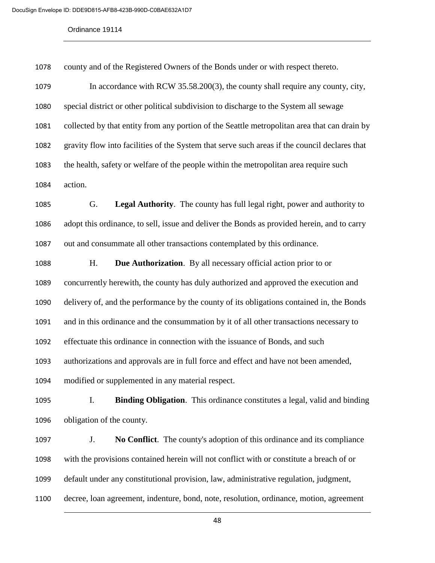county and of the Registered Owners of the Bonds under or with respect thereto.

 In accordance with RCW 35.58.200(3), the county shall require any county, city, special district or other political subdivision to discharge to the System all sewage collected by that entity from any portion of the Seattle metropolitan area that can drain by gravity flow into facilities of the System that serve such areas if the council declares that the health, safety or welfare of the people within the metropolitan area require such action.

 G. **Legal Authority**. The county has full legal right, power and authority to adopt this ordinance, to sell, issue and deliver the Bonds as provided herein, and to carry out and consummate all other transactions contemplated by this ordinance.

 H. **Due Authorization**. By all necessary official action prior to or concurrently herewith, the county has duly authorized and approved the execution and delivery of, and the performance by the county of its obligations contained in, the Bonds and in this ordinance and the consummation by it of all other transactions necessary to effectuate this ordinance in connection with the issuance of Bonds, and such authorizations and approvals are in full force and effect and have not been amended, modified or supplemented in any material respect.

 I. **Binding Obligation**. This ordinance constitutes a legal, valid and binding obligation of the county.

 J. **No Conflict**. The county's adoption of this ordinance and its compliance with the provisions contained herein will not conflict with or constitute a breach of or default under any constitutional provision, law, administrative regulation, judgment, decree, loan agreement, indenture, bond, note, resolution, ordinance, motion, agreement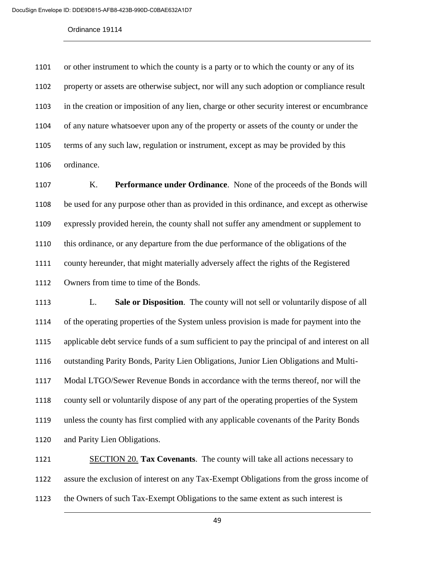or other instrument to which the county is a party or to which the county or any of its property or assets are otherwise subject, nor will any such adoption or compliance result in the creation or imposition of any lien, charge or other security interest or encumbrance of any nature whatsoever upon any of the property or assets of the county or under the terms of any such law, regulation or instrument, except as may be provided by this ordinance.

 K. **Performance under Ordinance**. None of the proceeds of the Bonds will be used for any purpose other than as provided in this ordinance, and except as otherwise expressly provided herein, the county shall not suffer any amendment or supplement to this ordinance, or any departure from the due performance of the obligations of the county hereunder, that might materially adversely affect the rights of the Registered Owners from time to time of the Bonds.

 L. **Sale or Disposition**. The county will not sell or voluntarily dispose of all of the operating properties of the System unless provision is made for payment into the applicable debt service funds of a sum sufficient to pay the principal of and interest on all outstanding Parity Bonds, Parity Lien Obligations, Junior Lien Obligations and Multi- Modal LTGO/Sewer Revenue Bonds in accordance with the terms thereof, nor will the county sell or voluntarily dispose of any part of the operating properties of the System unless the county has first complied with any applicable covenants of the Parity Bonds and Parity Lien Obligations.

 SECTION 20. **Tax Covenants**. The county will take all actions necessary to assure the exclusion of interest on any Tax-Exempt Obligations from the gross income of the Owners of such Tax-Exempt Obligations to the same extent as such interest is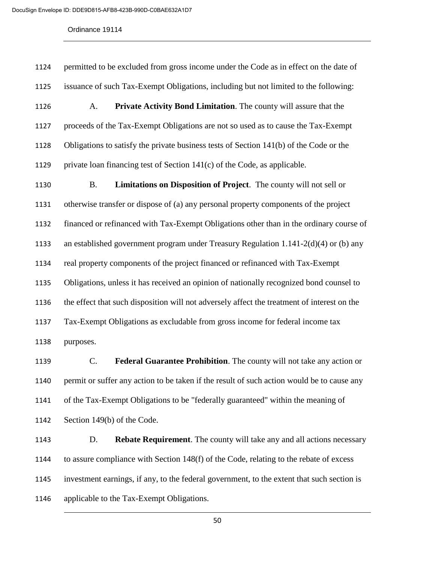permitted to be excluded from gross income under the Code as in effect on the date of issuance of such Tax-Exempt Obligations, including but not limited to the following: A. **Private Activity Bond Limitation**. The county will assure that the proceeds of the Tax-Exempt Obligations are not so used as to cause the Tax-Exempt Obligations to satisfy the private business tests of Section 141(b) of the Code or the 1129 private loan financing test of Section  $141(c)$  of the Code, as applicable. B. **Limitations on Disposition of Project**. The county will not sell or otherwise transfer or dispose of (a) any personal property components of the project financed or refinanced with Tax-Exempt Obligations other than in the ordinary course of an established government program under Treasury Regulation 1.141-2(d)(4) or (b) any real property components of the project financed or refinanced with Tax-Exempt Obligations, unless it has received an opinion of nationally recognized bond counsel to the effect that such disposition will not adversely affect the treatment of interest on the Tax-Exempt Obligations as excludable from gross income for federal income tax purposes.

 C. **Federal Guarantee Prohibition**. The county will not take any action or permit or suffer any action to be taken if the result of such action would be to cause any of the Tax-Exempt Obligations to be "federally guaranteed" within the meaning of Section 149(b) of the Code.

 D. **Rebate Requirement**. The county will take any and all actions necessary to assure compliance with Section 148(f) of the Code, relating to the rebate of excess investment earnings, if any, to the federal government, to the extent that such section is applicable to the Tax-Exempt Obligations.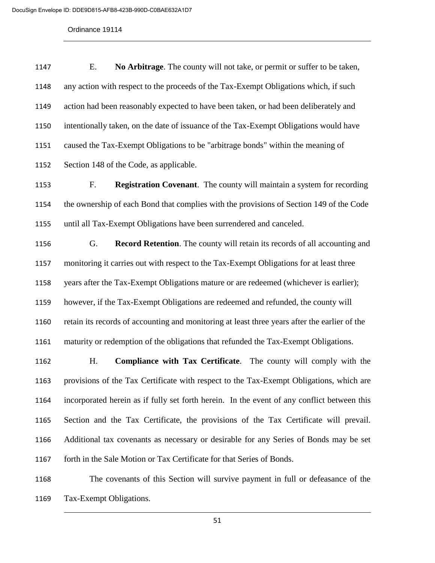E. **No Arbitrage**. The county will not take, or permit or suffer to be taken, any action with respect to the proceeds of the Tax-Exempt Obligations which, if such action had been reasonably expected to have been taken, or had been deliberately and intentionally taken, on the date of issuance of the Tax-Exempt Obligations would have caused the Tax-Exempt Obligations to be "arbitrage bonds" within the meaning of Section 148 of the Code, as applicable.

 F. **Registration Covenant**. The county will maintain a system for recording the ownership of each Bond that complies with the provisions of Section 149 of the Code until all Tax-Exempt Obligations have been surrendered and canceled.

 G. **Record Retention**. The county will retain its records of all accounting and monitoring it carries out with respect to the Tax-Exempt Obligations for at least three years after the Tax-Exempt Obligations mature or are redeemed (whichever is earlier); however, if the Tax-Exempt Obligations are redeemed and refunded, the county will retain its records of accounting and monitoring at least three years after the earlier of the maturity or redemption of the obligations that refunded the Tax-Exempt Obligations.

 H. **Compliance with Tax Certificate**. The county will comply with the provisions of the Tax Certificate with respect to the Tax-Exempt Obligations, which are incorporated herein as if fully set forth herein. In the event of any conflict between this Section and the Tax Certificate, the provisions of the Tax Certificate will prevail. Additional tax covenants as necessary or desirable for any Series of Bonds may be set 1167 forth in the Sale Motion or Tax Certificate for that Series of Bonds.

 The covenants of this Section will survive payment in full or defeasance of the Tax-Exempt Obligations.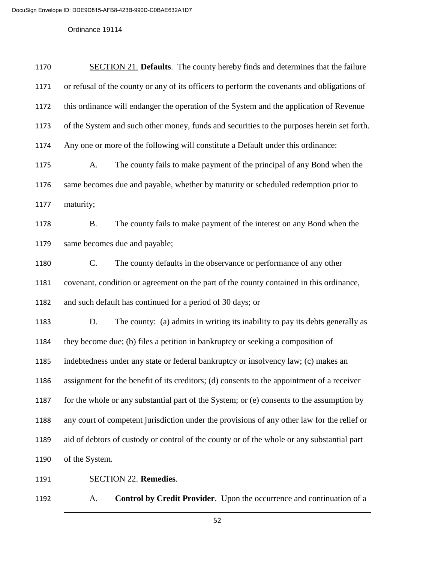| 1170 | <b>SECTION 21.</b> Defaults. The county hereby finds and determines that the failure        |
|------|---------------------------------------------------------------------------------------------|
| 1171 | or refusal of the county or any of its officers to perform the covenants and obligations of |
| 1172 | this ordinance will endanger the operation of the System and the application of Revenue     |
| 1173 | of the System and such other money, funds and securities to the purposes herein set forth.  |
| 1174 | Any one or more of the following will constitute a Default under this ordinance:            |
| 1175 | The county fails to make payment of the principal of any Bond when the<br>A.                |
| 1176 | same becomes due and payable, whether by maturity or scheduled redemption prior to          |
| 1177 | maturity;                                                                                   |
| 1178 | The county fails to make payment of the interest on any Bond when the<br><b>B.</b>          |
| 1179 | same becomes due and payable;                                                               |
| 1180 | $C_{\cdot}$<br>The county defaults in the observance or performance of any other            |
| 1181 | covenant, condition or agreement on the part of the county contained in this ordinance,     |
| 1182 | and such default has continued for a period of 30 days; or                                  |
| 1183 | The county: (a) admits in writing its inability to pay its debts generally as<br>D.         |
| 1184 | they become due; (b) files a petition in bankruptcy or seeking a composition of             |
| 1185 | indebtedness under any state or federal bankruptcy or insolvency law; (c) makes an          |
| 1186 | assignment for the benefit of its creditors; (d) consents to the appointment of a receiver  |
| 1187 | for the whole or any substantial part of the System; or (e) consents to the assumption by   |
| 1188 | any court of competent jurisdiction under the provisions of any other law for the relief or |
| 1189 | aid of debtors of custody or control of the county or of the whole or any substantial part  |
| 1190 | of the System.                                                                              |
| 1191 | <b>SECTION 22. Remedies.</b>                                                                |

A. **Control by Credit Provider**. Upon the occurrence and continuation of a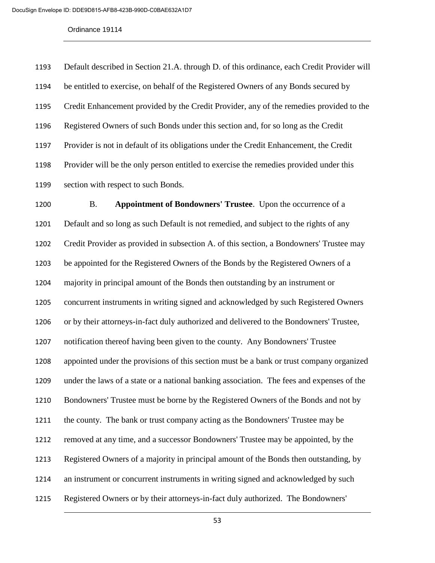Default described in Section 21.A. through D. of this ordinance, each Credit Provider will be entitled to exercise, on behalf of the Registered Owners of any Bonds secured by Credit Enhancement provided by the Credit Provider, any of the remedies provided to the Registered Owners of such Bonds under this section and, for so long as the Credit Provider is not in default of its obligations under the Credit Enhancement, the Credit Provider will be the only person entitled to exercise the remedies provided under this section with respect to such Bonds.

 B. **Appointment of Bondowners' Trustee**. Upon the occurrence of a Default and so long as such Default is not remedied, and subject to the rights of any Credit Provider as provided in subsection A. of this section, a Bondowners' Trustee may be appointed for the Registered Owners of the Bonds by the Registered Owners of a majority in principal amount of the Bonds then outstanding by an instrument or concurrent instruments in writing signed and acknowledged by such Registered Owners or by their attorneys-in-fact duly authorized and delivered to the Bondowners' Trustee, notification thereof having been given to the county. Any Bondowners' Trustee appointed under the provisions of this section must be a bank or trust company organized under the laws of a state or a national banking association. The fees and expenses of the Bondowners' Trustee must be borne by the Registered Owners of the Bonds and not by the county. The bank or trust company acting as the Bondowners' Trustee may be removed at any time, and a successor Bondowners' Trustee may be appointed, by the Registered Owners of a majority in principal amount of the Bonds then outstanding, by an instrument or concurrent instruments in writing signed and acknowledged by such Registered Owners or by their attorneys-in-fact duly authorized. The Bondowners'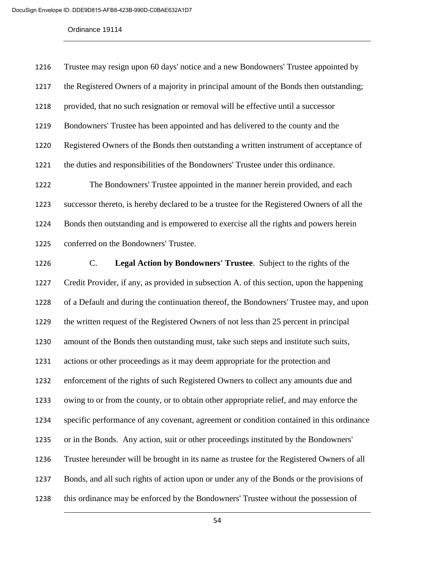| 1216 | Trustee may resign upon 60 days' notice and a new Bondowners' Trustee appointed by         |
|------|--------------------------------------------------------------------------------------------|
| 1217 | the Registered Owners of a majority in principal amount of the Bonds then outstanding;     |
| 1218 | provided, that no such resignation or removal will be effective until a successor          |
| 1219 | Bondowners' Trustee has been appointed and has delivered to the county and the             |
| 1220 | Registered Owners of the Bonds then outstanding a written instrument of acceptance of      |
| 1221 | the duties and responsibilities of the Bondowners' Trustee under this ordinance.           |
| 1222 | The Bondowners' Trustee appointed in the manner herein provided, and each                  |
| 1223 | successor thereto, is hereby declared to be a trustee for the Registered Owners of all the |
| 1224 | Bonds then outstanding and is empowered to exercise all the rights and powers herein       |
| 1225 | conferred on the Bondowners' Trustee.                                                      |

 C. **Legal Action by Bondowners' Trustee**. Subject to the rights of the Credit Provider, if any, as provided in subsection A. of this section, upon the happening of a Default and during the continuation thereof, the Bondowners' Trustee may, and upon the written request of the Registered Owners of not less than 25 percent in principal amount of the Bonds then outstanding must, take such steps and institute such suits, actions or other proceedings as it may deem appropriate for the protection and enforcement of the rights of such Registered Owners to collect any amounts due and owing to or from the county, or to obtain other appropriate relief, and may enforce the specific performance of any covenant, agreement or condition contained in this ordinance or in the Bonds. Any action, suit or other proceedings instituted by the Bondowners' Trustee hereunder will be brought in its name as trustee for the Registered Owners of all Bonds, and all such rights of action upon or under any of the Bonds or the provisions of this ordinance may be enforced by the Bondowners' Trustee without the possession of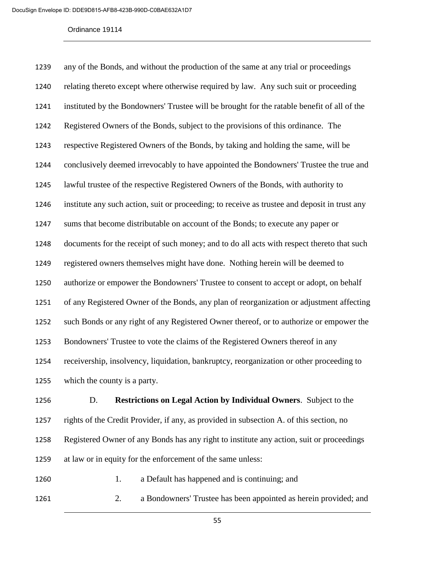| 1239 | any of the Bonds, and without the production of the same at any trial or proceedings          |
|------|-----------------------------------------------------------------------------------------------|
| 1240 | relating thereto except where otherwise required by law. Any such suit or proceeding          |
| 1241 | instituted by the Bondowners' Trustee will be brought for the ratable benefit of all of the   |
| 1242 | Registered Owners of the Bonds, subject to the provisions of this ordinance. The              |
| 1243 | respective Registered Owners of the Bonds, by taking and holding the same, will be            |
| 1244 | conclusively deemed irrevocably to have appointed the Bondowners' Trustee the true and        |
| 1245 | lawful trustee of the respective Registered Owners of the Bonds, with authority to            |
| 1246 | institute any such action, suit or proceeding; to receive as trustee and deposit in trust any |
| 1247 | sums that become distributable on account of the Bonds; to execute any paper or               |
| 1248 | documents for the receipt of such money; and to do all acts with respect thereto that such    |
| 1249 | registered owners themselves might have done. Nothing herein will be deemed to                |
| 1250 | authorize or empower the Bondowners' Trustee to consent to accept or adopt, on behalf         |
| 1251 | of any Registered Owner of the Bonds, any plan of reorganization or adjustment affecting      |
| 1252 | such Bonds or any right of any Registered Owner thereof, or to authorize or empower the       |
| 1253 | Bondowners' Trustee to vote the claims of the Registered Owners thereof in any                |
| 1254 | receivership, insolvency, liquidation, bankruptcy, reorganization or other proceeding to      |
| 1255 | which the county is a party.                                                                  |
|      |                                                                                               |

 D. **Restrictions on Legal Action by Individual Owners**. Subject to the rights of the Credit Provider, if any, as provided in subsection A. of this section, no Registered Owner of any Bonds has any right to institute any action, suit or proceedings at law or in equity for the enforcement of the same unless:

1260 1. a Default has happened and is continuing; and

2. a Bondowners' Trustee has been appointed as herein provided; and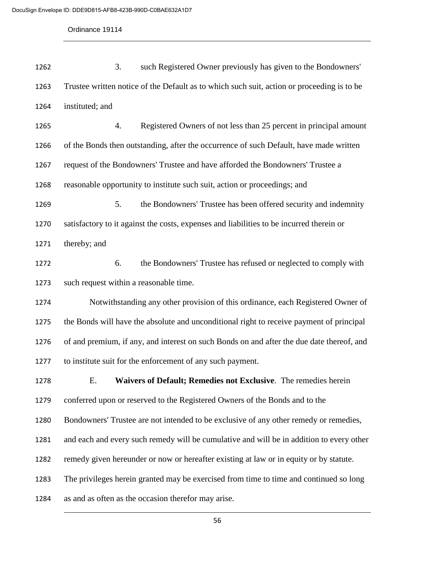3. such Registered Owner previously has given to the Bondowners' Trustee written notice of the Default as to which such suit, action or proceeding is to be instituted; and 4. Registered Owners of not less than 25 percent in principal amount of the Bonds then outstanding, after the occurrence of such Default, have made written request of the Bondowners' Trustee and have afforded the Bondowners' Trustee a reasonable opportunity to institute such suit, action or proceedings; and 5. the Bondowners' Trustee has been offered security and indemnity satisfactory to it against the costs, expenses and liabilities to be incurred therein or thereby; and 6. the Bondowners' Trustee has refused or neglected to comply with such request within a reasonable time. Notwithstanding any other provision of this ordinance, each Registered Owner of the Bonds will have the absolute and unconditional right to receive payment of principal of and premium, if any, and interest on such Bonds on and after the due date thereof, and to institute suit for the enforcement of any such payment. E. **Waivers of Default; Remedies not Exclusive**. The remedies herein conferred upon or reserved to the Registered Owners of the Bonds and to the Bondowners' Trustee are not intended to be exclusive of any other remedy or remedies, and each and every such remedy will be cumulative and will be in addition to every other remedy given hereunder or now or hereafter existing at law or in equity or by statute. The privileges herein granted may be exercised from time to time and continued so long as and as often as the occasion therefor may arise.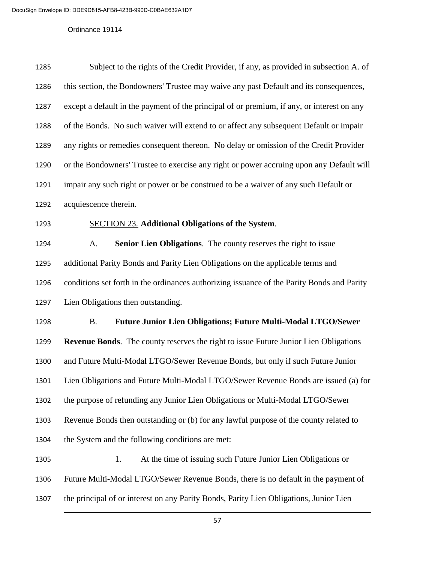| 1285 | Subject to the rights of the Credit Provider, if any, as provided in subsection A. of       |
|------|---------------------------------------------------------------------------------------------|
| 1286 | this section, the Bondowners' Trustee may waive any past Default and its consequences,      |
| 1287 | except a default in the payment of the principal of or premium, if any, or interest on any  |
| 1288 | of the Bonds. No such waiver will extend to or affect any subsequent Default or impair      |
| 1289 | any rights or remedies consequent thereon. No delay or omission of the Credit Provider      |
| 1290 | or the Bondowners' Trustee to exercise any right or power accruing upon any Default will    |
| 1291 | impair any such right or power or be construed to be a waiver of any such Default or        |
| 1292 | acquiescence therein.                                                                       |
| 1293 | <b>SECTION 23. Additional Obligations of the System.</b>                                    |
| 1294 | A.<br>Senior Lien Obligations. The county reserves the right to issue                       |
| 1295 | additional Parity Bonds and Parity Lien Obligations on the applicable terms and             |
| 1296 | conditions set forth in the ordinances authorizing issuance of the Parity Bonds and Parity  |
| 1297 | Lien Obligations then outstanding.                                                          |
| 1298 | <b>Future Junior Lien Obligations; Future Multi-Modal LTGO/Sewer</b><br><b>B.</b>           |
| 1299 | <b>Revenue Bonds.</b> The county reserves the right to issue Future Junior Lien Obligations |
| 1300 | and Future Multi-Modal LTGO/Sewer Revenue Bonds, but only if such Future Junior             |
| 1301 | Lien Obligations and Future Multi-Modal LTGO/Sewer Revenue Bonds are issued (a) for         |
| 1302 | the purpose of refunding any Junior Lien Obligations or Multi-Modal LTGO/Sewer              |
| 1303 | Revenue Bonds then outstanding or (b) for any lawful purpose of the county related to       |
| 1304 | the System and the following conditions are met:                                            |
| 1305 | At the time of issuing such Future Junior Lien Obligations or<br>1.                         |
| 1306 | Future Multi-Modal LTGO/Sewer Revenue Bonds, there is no default in the payment of          |
| 1307 | the principal of or interest on any Parity Bonds, Parity Lien Obligations, Junior Lien      |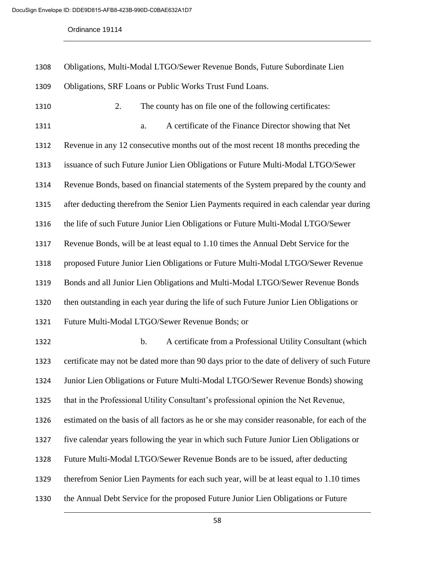Obligations, Multi-Modal LTGO/Sewer Revenue Bonds, Future Subordinate Lien Obligations, SRF Loans or Public Works Trust Fund Loans. 2. The county has on file one of the following certificates: a. A certificate of the Finance Director showing that Net Revenue in any 12 consecutive months out of the most recent 18 months preceding the issuance of such Future Junior Lien Obligations or Future Multi-Modal LTGO/Sewer Revenue Bonds, based on financial statements of the System prepared by the county and after deducting therefrom the Senior Lien Payments required in each calendar year during the life of such Future Junior Lien Obligations or Future Multi-Modal LTGO/Sewer Revenue Bonds, will be at least equal to 1.10 times the Annual Debt Service for the proposed Future Junior Lien Obligations or Future Multi-Modal LTGO/Sewer Revenue Bonds and all Junior Lien Obligations and Multi-Modal LTGO/Sewer Revenue Bonds then outstanding in each year during the life of such Future Junior Lien Obligations or Future Multi-Modal LTGO/Sewer Revenue Bonds; or b. A certificate from a Professional Utility Consultant (which certificate may not be dated more than 90 days prior to the date of delivery of such Future Junior Lien Obligations or Future Multi-Modal LTGO/Sewer Revenue Bonds) showing that in the Professional Utility Consultant's professional opinion the Net Revenue, estimated on the basis of all factors as he or she may consider reasonable, for each of the five calendar years following the year in which such Future Junior Lien Obligations or Future Multi-Modal LTGO/Sewer Revenue Bonds are to be issued, after deducting therefrom Senior Lien Payments for each such year, will be at least equal to 1.10 times the Annual Debt Service for the proposed Future Junior Lien Obligations or Future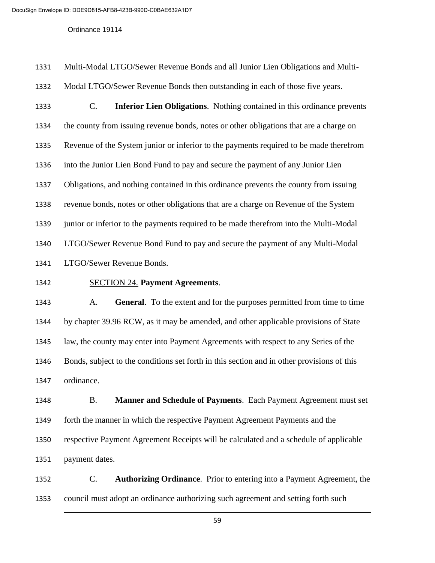Multi-Modal LTGO/Sewer Revenue Bonds and all Junior Lien Obligations and Multi- Modal LTGO/Sewer Revenue Bonds then outstanding in each of those five years. C. **Inferior Lien Obligations**. Nothing contained in this ordinance prevents the county from issuing revenue bonds, notes or other obligations that are a charge on Revenue of the System junior or inferior to the payments required to be made therefrom into the Junior Lien Bond Fund to pay and secure the payment of any Junior Lien Obligations, and nothing contained in this ordinance prevents the county from issuing revenue bonds, notes or other obligations that are a charge on Revenue of the System junior or inferior to the payments required to be made therefrom into the Multi-Modal LTGO/Sewer Revenue Bond Fund to pay and secure the payment of any Multi-Modal LTGO/Sewer Revenue Bonds. SECTION 24. **Payment Agreements**. A. **General**. To the extent and for the purposes permitted from time to time by chapter 39.96 RCW, as it may be amended, and other applicable provisions of State law, the county may enter into Payment Agreements with respect to any Series of the Bonds, subject to the conditions set forth in this section and in other provisions of this ordinance.

 B. **Manner and Schedule of Payments**. Each Payment Agreement must set forth the manner in which the respective Payment Agreement Payments and the respective Payment Agreement Receipts will be calculated and a schedule of applicable payment dates.

 C. **Authorizing Ordinance**. Prior to entering into a Payment Agreement, the council must adopt an ordinance authorizing such agreement and setting forth such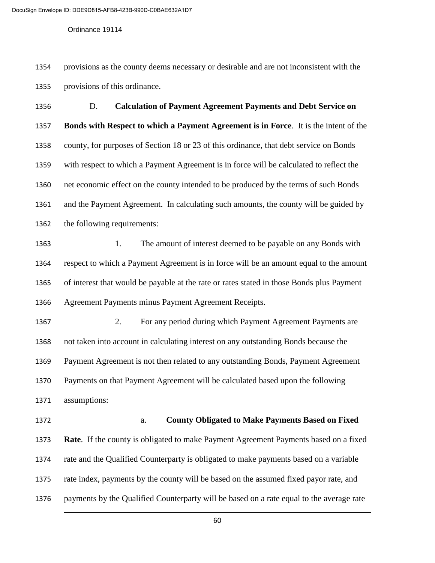provisions as the county deems necessary or desirable and are not inconsistent with the provisions of this ordinance.

 D. **Calculation of Payment Agreement Payments and Debt Service on Bonds with Respect to which a Payment Agreement is in Force**. It is the intent of the county, for purposes of Section 18 or 23 of this ordinance, that debt service on Bonds with respect to which a Payment Agreement is in force will be calculated to reflect the net economic effect on the county intended to be produced by the terms of such Bonds and the Payment Agreement. In calculating such amounts, the county will be guided by the following requirements:

1363 1. The amount of interest deemed to be payable on any Bonds with respect to which a Payment Agreement is in force will be an amount equal to the amount of interest that would be payable at the rate or rates stated in those Bonds plus Payment Agreement Payments minus Payment Agreement Receipts.

 2. For any period during which Payment Agreement Payments are not taken into account in calculating interest on any outstanding Bonds because the Payment Agreement is not then related to any outstanding Bonds, Payment Agreement Payments on that Payment Agreement will be calculated based upon the following assumptions:

 a. **County Obligated to Make Payments Based on Fixed Rate**. If the county is obligated to make Payment Agreement Payments based on a fixed rate and the Qualified Counterparty is obligated to make payments based on a variable rate index, payments by the county will be based on the assumed fixed payor rate, and payments by the Qualified Counterparty will be based on a rate equal to the average rate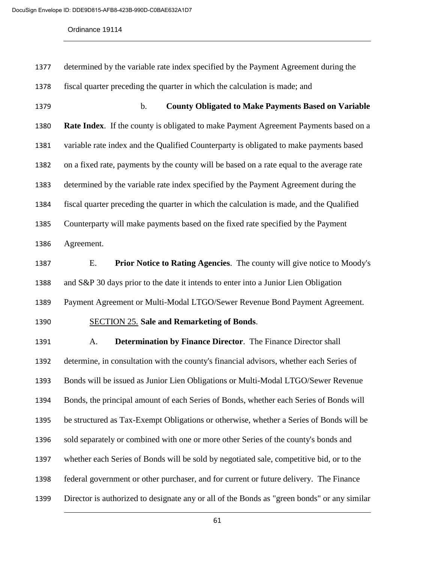| 1377 | determined by the variable rate index specified by the Payment Agreement during the         |
|------|---------------------------------------------------------------------------------------------|
| 1378 | fiscal quarter preceding the quarter in which the calculation is made; and                  |
| 1379 | $\mathbf b$ .<br><b>County Obligated to Make Payments Based on Variable</b>                 |
| 1380 | Rate Index. If the county is obligated to make Payment Agreement Payments based on a        |
| 1381 | variable rate index and the Qualified Counterparty is obligated to make payments based      |
| 1382 | on a fixed rate, payments by the county will be based on a rate equal to the average rate   |
| 1383 | determined by the variable rate index specified by the Payment Agreement during the         |
| 1384 | fiscal quarter preceding the quarter in which the calculation is made, and the Qualified    |
| 1385 | Counterparty will make payments based on the fixed rate specified by the Payment            |
| 1386 | Agreement.                                                                                  |
| 1387 | <b>Prior Notice to Rating Agencies.</b> The county will give notice to Moody's<br>Ε.        |
| 1388 | and S&P 30 days prior to the date it intends to enter into a Junior Lien Obligation         |
| 1389 | Payment Agreement or Multi-Modal LTGO/Sewer Revenue Bond Payment Agreement.                 |
| 1390 | <b>SECTION 25.</b> Sale and Remarketing of Bonds.                                           |
| 1391 | Determination by Finance Director. The Finance Director shall<br>A.                         |
| 1392 | determine, in consultation with the county's financial advisors, whether each Series of     |
| 1393 | Bonds will be issued as Junior Lien Obligations or Multi-Modal LTGO/Sewer Revenue           |
| 1394 | Bonds, the principal amount of each Series of Bonds, whether each Series of Bonds will      |
| 1395 | be structured as Tax-Exempt Obligations or otherwise, whether a Series of Bonds will be     |
| 1396 | sold separately or combined with one or more other Series of the county's bonds and         |
| 1397 | whether each Series of Bonds will be sold by negotiated sale, competitive bid, or to the    |
| 1398 | federal government or other purchaser, and for current or future delivery. The Finance      |
| 1399 | Director is authorized to designate any or all of the Bonds as "green bonds" or any similar |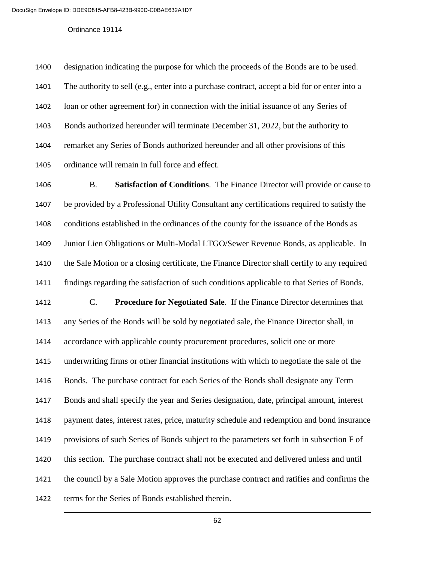designation indicating the purpose for which the proceeds of the Bonds are to be used. The authority to sell (e.g., enter into a purchase contract, accept a bid for or enter into a loan or other agreement for) in connection with the initial issuance of any Series of Bonds authorized hereunder will terminate December 31, 2022, but the authority to remarket any Series of Bonds authorized hereunder and all other provisions of this ordinance will remain in full force and effect.

 B. **Satisfaction of Conditions**. The Finance Director will provide or cause to be provided by a Professional Utility Consultant any certifications required to satisfy the conditions established in the ordinances of the county for the issuance of the Bonds as Junior Lien Obligations or Multi-Modal LTGO/Sewer Revenue Bonds, as applicable. In the Sale Motion or a closing certificate, the Finance Director shall certify to any required findings regarding the satisfaction of such conditions applicable to that Series of Bonds.

 C. **Procedure for Negotiated Sale**. If the Finance Director determines that any Series of the Bonds will be sold by negotiated sale, the Finance Director shall, in accordance with applicable county procurement procedures, solicit one or more underwriting firms or other financial institutions with which to negotiate the sale of the Bonds. The purchase contract for each Series of the Bonds shall designate any Term Bonds and shall specify the year and Series designation, date, principal amount, interest payment dates, interest rates, price, maturity schedule and redemption and bond insurance provisions of such Series of Bonds subject to the parameters set forth in subsection F of this section. The purchase contract shall not be executed and delivered unless and until the council by a Sale Motion approves the purchase contract and ratifies and confirms the terms for the Series of Bonds established therein.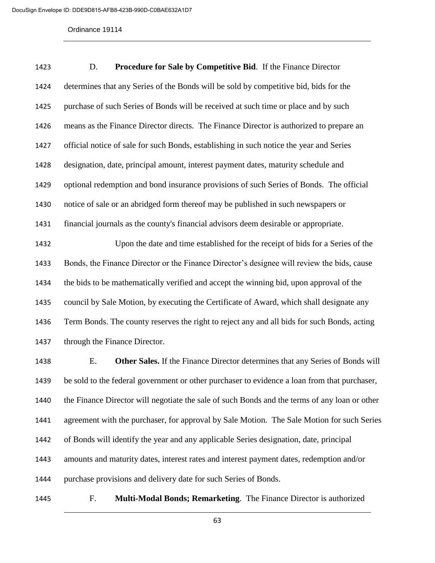D. **Procedure for Sale by Competitive Bid**. If the Finance Director determines that any Series of the Bonds will be sold by competitive bid, bids for the purchase of such Series of Bonds will be received at such time or place and by such means as the Finance Director directs. The Finance Director is authorized to prepare an official notice of sale for such Bonds, establishing in such notice the year and Series designation, date, principal amount, interest payment dates, maturity schedule and optional redemption and bond insurance provisions of such Series of Bonds. The official notice of sale or an abridged form thereof may be published in such newspapers or financial journals as the county's financial advisors deem desirable or appropriate. Upon the date and time established for the receipt of bids for a Series of the Bonds, the Finance Director or the Finance Director's designee will review the bids, cause the bids to be mathematically verified and accept the winning bid, upon approval of the council by Sale Motion, by executing the Certificate of Award, which shall designate any Term Bonds. The county reserves the right to reject any and all bids for such Bonds, acting through the Finance Director. E. **Other Sales.** If the Finance Director determines that any Series of Bonds will be sold to the federal government or other purchaser to evidence a loan from that purchaser, the Finance Director will negotiate the sale of such Bonds and the terms of any loan or other agreement with the purchaser, for approval by Sale Motion. The Sale Motion for such Series of Bonds will identify the year and any applicable Series designation, date, principal amounts and maturity dates, interest rates and interest payment dates, redemption and/or purchase provisions and delivery date for such Series of Bonds.

F. **Multi-Modal Bonds; Remarketing**. The Finance Director is authorized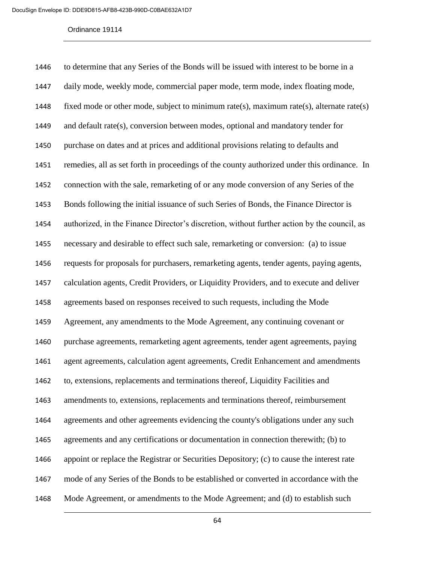| 1446 | to determine that any Series of the Bonds will be issued with interest to be borne in a     |
|------|---------------------------------------------------------------------------------------------|
| 1447 | daily mode, weekly mode, commercial paper mode, term mode, index floating mode,             |
| 1448 | fixed mode or other mode, subject to minimum rate(s), maximum rate(s), alternate rate(s)    |
| 1449 | and default rate(s), conversion between modes, optional and mandatory tender for            |
| 1450 | purchase on dates and at prices and additional provisions relating to defaults and          |
| 1451 | remedies, all as set forth in proceedings of the county authorized under this ordinance. In |
| 1452 | connection with the sale, remarketing of or any mode conversion of any Series of the        |
| 1453 | Bonds following the initial issuance of such Series of Bonds, the Finance Director is       |
| 1454 | authorized, in the Finance Director's discretion, without further action by the council, as |
| 1455 | necessary and desirable to effect such sale, remarketing or conversion: (a) to issue        |
| 1456 | requests for proposals for purchasers, remarketing agents, tender agents, paying agents,    |
| 1457 | calculation agents, Credit Providers, or Liquidity Providers, and to execute and deliver    |
| 1458 | agreements based on responses received to such requests, including the Mode                 |
| 1459 | Agreement, any amendments to the Mode Agreement, any continuing covenant or                 |
| 1460 | purchase agreements, remarketing agent agreements, tender agent agreements, paying          |
| 1461 | agent agreements, calculation agent agreements, Credit Enhancement and amendments           |
| 1462 | to, extensions, replacements and terminations thereof, Liquidity Facilities and             |
| 1463 | amendments to, extensions, replacements and terminations thereof, reimbursement             |
| 1464 | agreements and other agreements evidencing the county's obligations under any such          |
| 1465 | agreements and any certifications or documentation in connection therewith; (b) to          |
| 1466 | appoint or replace the Registrar or Securities Depository; (c) to cause the interest rate   |
| 1467 | mode of any Series of the Bonds to be established or converted in accordance with the       |
| 1468 | Mode Agreement, or amendments to the Mode Agreement; and (d) to establish such              |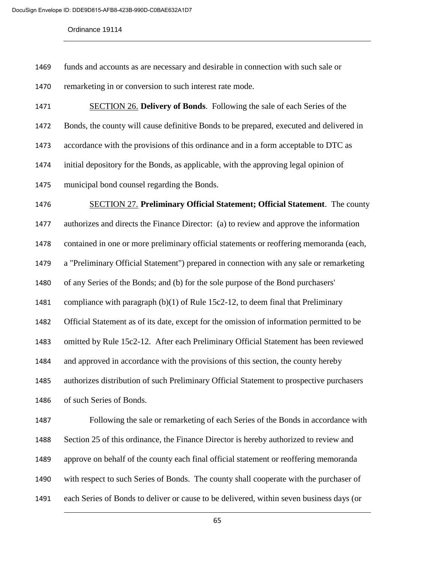funds and accounts as are necessary and desirable in connection with such sale or remarketing in or conversion to such interest rate mode.

 SECTION 26. **Delivery of Bonds**. Following the sale of each Series of the Bonds, the county will cause definitive Bonds to be prepared, executed and delivered in accordance with the provisions of this ordinance and in a form acceptable to DTC as initial depository for the Bonds, as applicable, with the approving legal opinion of municipal bond counsel regarding the Bonds.

 SECTION 27. **Preliminary Official Statement; Official Statement**. The county authorizes and directs the Finance Director: (a) to review and approve the information contained in one or more preliminary official statements or reoffering memoranda (each, a "Preliminary Official Statement") prepared in connection with any sale or remarketing of any Series of the Bonds; and (b) for the sole purpose of the Bond purchasers' compliance with paragraph (b)(1) of Rule 15c2-12, to deem final that Preliminary Official Statement as of its date, except for the omission of information permitted to be omitted by Rule 15c2-12. After each Preliminary Official Statement has been reviewed and approved in accordance with the provisions of this section, the county hereby authorizes distribution of such Preliminary Official Statement to prospective purchasers of such Series of Bonds. Following the sale or remarketing of each Series of the Bonds in accordance with Section 25 of this ordinance, the Finance Director is hereby authorized to review and approve on behalf of the county each final official statement or reoffering memoranda

with respect to such Series of Bonds. The county shall cooperate with the purchaser of

each Series of Bonds to deliver or cause to be delivered, within seven business days (or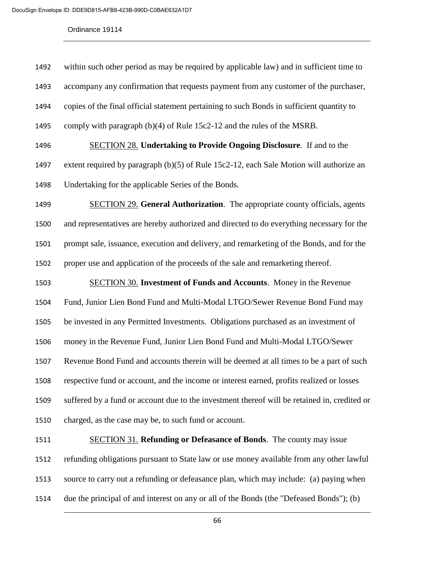| 1492 | within such other period as may be required by applicable law) and in sufficient time to     |
|------|----------------------------------------------------------------------------------------------|
| 1493 | accompany any confirmation that requests payment from any customer of the purchaser,         |
| 1494 | copies of the final official statement pertaining to such Bonds in sufficient quantity to    |
| 1495 | comply with paragraph $(b)(4)$ of Rule 15c2-12 and the rules of the MSRB.                    |
| 1496 | <b>SECTION 28. Undertaking to Provide Ongoing Disclosure.</b> If and to the                  |
| 1497 | extent required by paragraph (b)(5) of Rule 15c2-12, each Sale Motion will authorize an      |
| 1498 | Undertaking for the applicable Series of the Bonds.                                          |
| 1499 | <b>SECTION 29. General Authorization.</b> The appropriate county officials, agents           |
| 1500 | and representatives are hereby authorized and directed to do everything necessary for the    |
| 1501 | prompt sale, issuance, execution and delivery, and remarketing of the Bonds, and for the     |
| 1502 | proper use and application of the proceeds of the sale and remarketing thereof.              |
| 1503 | <b>SECTION 30. Investment of Funds and Accounts.</b> Money in the Revenue                    |
| 1504 | Fund, Junior Lien Bond Fund and Multi-Modal LTGO/Sewer Revenue Bond Fund may                 |
| 1505 | be invested in any Permitted Investments. Obligations purchased as an investment of          |
| 1506 | money in the Revenue Fund, Junior Lien Bond Fund and Multi-Modal LTGO/Sewer                  |
| 1507 | Revenue Bond Fund and accounts therein will be deemed at all times to be a part of such      |
| 1508 | respective fund or account, and the income or interest earned, profits realized or losses    |
| 1509 | suffered by a fund or account due to the investment thereof will be retained in, credited or |
| 1510 | charged, as the case may be, to such fund or account.                                        |
| 1511 | SECTION 31. Refunding or Defeasance of Bonds. The county may issue                           |
| 1512 | refunding obligations pursuant to State law or use money available from any other lawful     |
| 1513 | source to carry out a refunding or defeasance plan, which may include: (a) paying when       |
| 1514 | due the principal of and interest on any or all of the Bonds (the "Defeased Bonds"); (b)     |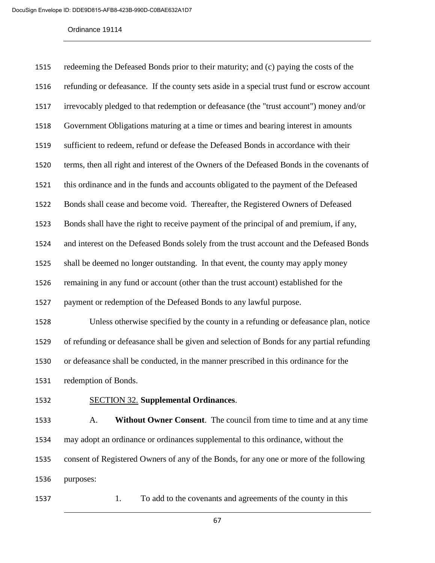| 1515 | redeeming the Defeased Bonds prior to their maturity; and (c) paying the costs of the       |
|------|---------------------------------------------------------------------------------------------|
| 1516 | refunding or defeasance. If the county sets aside in a special trust fund or escrow account |
| 1517 | irrevocably pledged to that redemption or defeasance (the "trust account") money and/or     |
| 1518 | Government Obligations maturing at a time or times and bearing interest in amounts          |
| 1519 | sufficient to redeem, refund or defease the Defeased Bonds in accordance with their         |
| 1520 | terms, then all right and interest of the Owners of the Defeased Bonds in the covenants of  |
| 1521 | this ordinance and in the funds and accounts obligated to the payment of the Defeased       |
| 1522 | Bonds shall cease and become void. Thereafter, the Registered Owners of Defeased            |
| 1523 | Bonds shall have the right to receive payment of the principal of and premium, if any,      |
| 1524 | and interest on the Defeased Bonds solely from the trust account and the Defeased Bonds     |
| 1525 | shall be deemed no longer outstanding. In that event, the county may apply money            |
| 1526 | remaining in any fund or account (other than the trust account) established for the         |
| 1527 | payment or redemption of the Defeased Bonds to any lawful purpose.                          |
|      |                                                                                             |

 Unless otherwise specified by the county in a refunding or defeasance plan, notice of refunding or defeasance shall be given and selection of Bonds for any partial refunding or defeasance shall be conducted, in the manner prescribed in this ordinance for the

redemption of Bonds.

## SECTION 32. **Supplemental Ordinances**.

 A. **Without Owner Consent**. The council from time to time and at any time may adopt an ordinance or ordinances supplemental to this ordinance, without the consent of Registered Owners of any of the Bonds, for any one or more of the following purposes:

1537 1. To add to the covenants and agreements of the county in this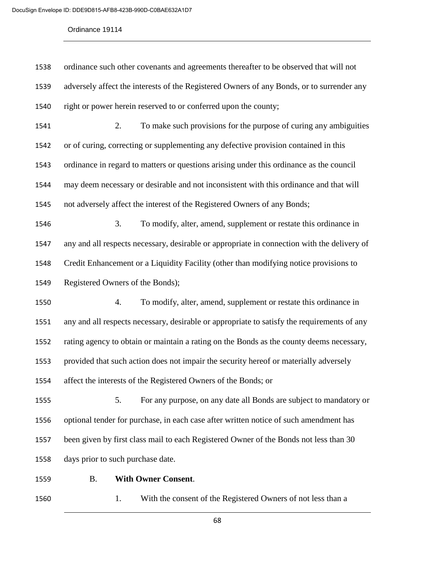| 1539 | adversely affect the interests of the Registered Owners of any Bonds, or to surrender any   |
|------|---------------------------------------------------------------------------------------------|
|      |                                                                                             |
| 1540 | right or power herein reserved to or conferred upon the county;                             |
| 1541 | 2.<br>To make such provisions for the purpose of curing any ambiguities                     |
| 1542 | or of curing, correcting or supplementing any defective provision contained in this         |
| 1543 | ordinance in regard to matters or questions arising under this ordinance as the council     |
| 1544 | may deem necessary or desirable and not inconsistent with this ordinance and that will      |
| 1545 | not adversely affect the interest of the Registered Owners of any Bonds;                    |
| 1546 | 3.<br>To modify, alter, amend, supplement or restate this ordinance in                      |
| 1547 | any and all respects necessary, desirable or appropriate in connection with the delivery of |
| 1548 | Credit Enhancement or a Liquidity Facility (other than modifying notice provisions to       |
| 1549 | Registered Owners of the Bonds);                                                            |
| 1550 | To modify, alter, amend, supplement or restate this ordinance in<br>4.                      |
| 1551 | any and all respects necessary, desirable or appropriate to satisfy the requirements of any |
| 1552 | rating agency to obtain or maintain a rating on the Bonds as the county deems necessary,    |
| 1553 | provided that such action does not impair the security hereof or materially adversely       |
| 1554 | affect the interests of the Registered Owners of the Bonds; or                              |
| 1555 | For any purpose, on any date all Bonds are subject to mandatory or<br>5.                    |
| 1556 | optional tender for purchase, in each case after written notice of such amendment has       |
| 1557 | been given by first class mail to each Registered Owner of the Bonds not less than 30       |
| 1558 | days prior to such purchase date.                                                           |
| 1559 | <b>With Owner Consent.</b><br><b>B.</b>                                                     |

1560 1. With the consent of the Registered Owners of not less than a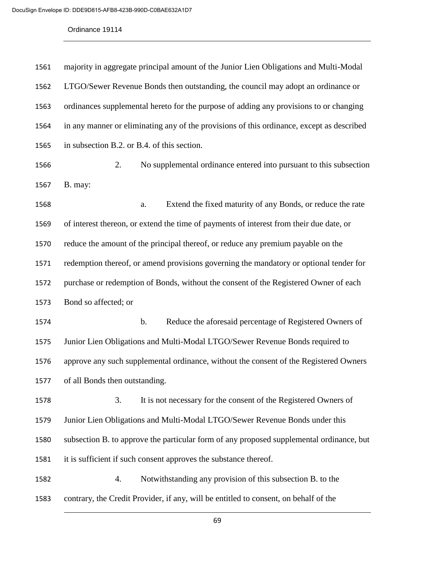| 1561 | majority in aggregate principal amount of the Junior Lien Obligations and Multi-Modal     |  |  |  |  |
|------|-------------------------------------------------------------------------------------------|--|--|--|--|
| 1562 | LTGO/Sewer Revenue Bonds then outstanding, the council may adopt an ordinance or          |  |  |  |  |
| 1563 | ordinances supplemental hereto for the purpose of adding any provisions to or changing    |  |  |  |  |
| 1564 | in any manner or eliminating any of the provisions of this ordinance, except as described |  |  |  |  |
| 1565 | in subsection B.2. or B.4. of this section.                                               |  |  |  |  |
| 1566 | 2.<br>No supplemental ordinance entered into pursuant to this subsection                  |  |  |  |  |
| 1567 | B. may:                                                                                   |  |  |  |  |
| 1568 | Extend the fixed maturity of any Bonds, or reduce the rate<br>a.                          |  |  |  |  |
| 1569 | of interest thereon, or extend the time of payments of interest from their due date, or   |  |  |  |  |
| 1570 | reduce the amount of the principal thereof, or reduce any premium payable on the          |  |  |  |  |
| 1571 | redemption thereof, or amend provisions governing the mandatory or optional tender for    |  |  |  |  |
| 1572 | purchase or redemption of Bonds, without the consent of the Registered Owner of each      |  |  |  |  |
| 1573 | Bond so affected; or                                                                      |  |  |  |  |
| 1574 | Reduce the aforesaid percentage of Registered Owners of<br>b.                             |  |  |  |  |
| 1575 | Junior Lien Obligations and Multi-Modal LTGO/Sewer Revenue Bonds required to              |  |  |  |  |
| 1576 | approve any such supplemental ordinance, without the consent of the Registered Owners     |  |  |  |  |
| 1577 | of all Bonds then outstanding.                                                            |  |  |  |  |
| 1578 | 3.<br>It is not necessary for the consent of the Registered Owners of                     |  |  |  |  |
| 1579 | Junior Lien Obligations and Multi-Modal LTGO/Sewer Revenue Bonds under this               |  |  |  |  |
| 1580 | subsection B. to approve the particular form of any proposed supplemental ordinance, but  |  |  |  |  |
| 1581 | it is sufficient if such consent approves the substance thereof.                          |  |  |  |  |
| 1582 | Notwithstanding any provision of this subsection B. to the<br>4.                          |  |  |  |  |
| 1583 | contrary, the Credit Provider, if any, will be entitled to consent, on behalf of the      |  |  |  |  |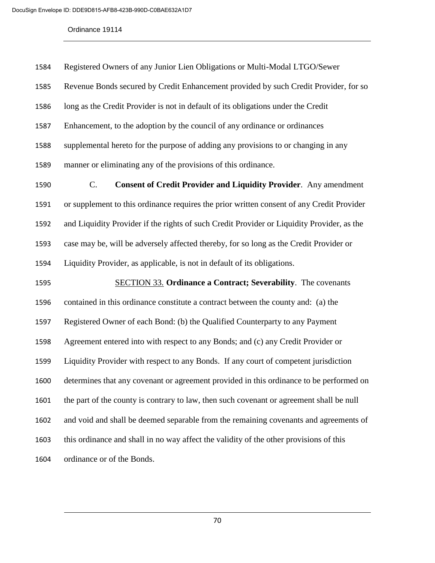| 1584 | Registered Owners of any Junior Lien Obligations or Multi-Modal LTGO/Sewer                 |  |  |  |
|------|--------------------------------------------------------------------------------------------|--|--|--|
| 1585 | Revenue Bonds secured by Credit Enhancement provided by such Credit Provider, for so       |  |  |  |
| 1586 | long as the Credit Provider is not in default of its obligations under the Credit          |  |  |  |
| 1587 | Enhancement, to the adoption by the council of any ordinance or ordinances                 |  |  |  |
| 1588 | supplemental hereto for the purpose of adding any provisions to or changing in any         |  |  |  |
| 1589 | manner or eliminating any of the provisions of this ordinance.                             |  |  |  |
| 1590 | $C_{\cdot}$<br><b>Consent of Credit Provider and Liquidity Provider.</b> Any amendment     |  |  |  |
| 1591 | or supplement to this ordinance requires the prior written consent of any Credit Provider  |  |  |  |
| 1592 | and Liquidity Provider if the rights of such Credit Provider or Liquidity Provider, as the |  |  |  |
| 1593 | case may be, will be adversely affected thereby, for so long as the Credit Provider or     |  |  |  |
| 1594 | Liquidity Provider, as applicable, is not in default of its obligations.                   |  |  |  |
| 1595 | <b>SECTION 33. Ordinance a Contract; Severability.</b> The covenants                       |  |  |  |
| 1596 | contained in this ordinance constitute a contract between the county and: (a) the          |  |  |  |
| 1597 | Registered Owner of each Bond: (b) the Qualified Counterparty to any Payment               |  |  |  |
| 1598 | Agreement entered into with respect to any Bonds; and (c) any Credit Provider or           |  |  |  |
| 1599 | Liquidity Provider with respect to any Bonds. If any court of competent jurisdiction       |  |  |  |
| 1600 | determines that any covenant or agreement provided in this ordinance to be performed on    |  |  |  |
| 1601 | the part of the county is contrary to law, then such covenant or agreement shall be null   |  |  |  |
| 1602 | and void and shall be deemed separable from the remaining covenants and agreements of      |  |  |  |
| 1603 | this ordinance and shall in no way affect the validity of the other provisions of this     |  |  |  |
| 1604 | ordinance or of the Bonds.                                                                 |  |  |  |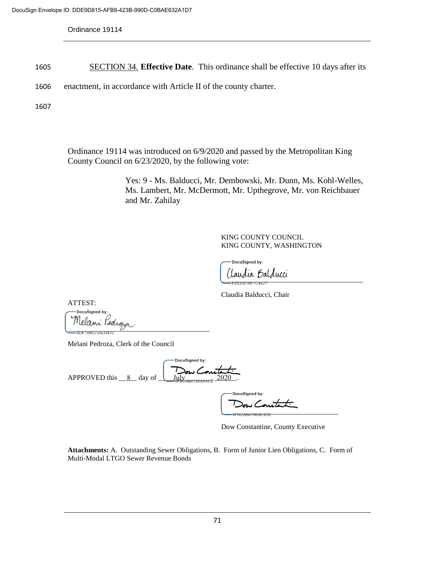- 1605 SECTION 34. **Effective Date**. This ordinance shall be effective 10 days after its
- 1606 enactment, in accordance with Article II of the county charter.

1607

Ordinance 19114 was introduced on 6/9/2020 and passed by the Metropolitan King County Council on 6/23/2020, by the following vote:

> Yes: 9 - Ms. Balducci, Mr. Dembowski, Mr. Dunn, Ms. Kohl-Welles, Ms. Lambert, Mr. McDermott, Mr. Upthegrove, Mr. von Reichbauer and Mr. Zahilay

> > KING COUNTY COUNCIL KING COUNTY, WASHINGTON

DocuSigned by: laudia Balducci

Claudia Balducci, Chair

ATTEST:

DocuSigned by Melani *Pedro*z<br>-=====================

Melani Pedroza, Clerk of the Council

DocuSigned by: APPROVED this  $\_8$  day of  $\_\_\_\_\_\_\_\_\_\_\_\_\_\_\_\_\_\_\_\_\_7$  2020.

DocuSigned by: \_\_\_\_\_\_\_\_\_\_\_\_\_\_\_\_\_\_\_\_\_\_\_\_\_\_\_\_\_\_\_\_\_

Dow Constantine, County Executive

**Attachments:** A. Outstanding Sewer Obligations, B. Form of Junior Lien Obligations, C. Form of Multi-Modal LTGO Sewer Revenue Bonds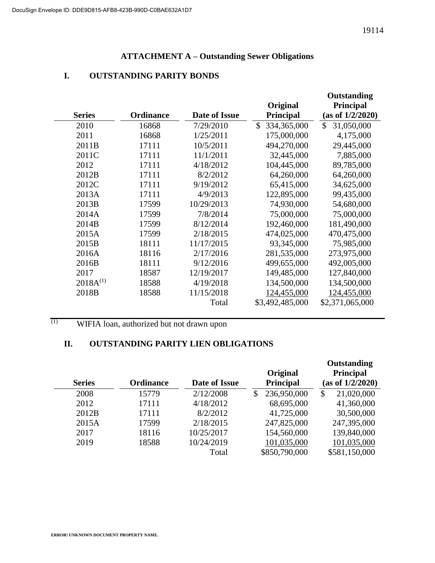# **ATTACHMENT A – Outstanding Sewer Obligations**

# **I. OUTSTANDING PARITY BONDS**

|               |                  |               |                             | Outstanding                 |
|---------------|------------------|---------------|-----------------------------|-----------------------------|
|               |                  |               | Original                    | <b>Principal</b>            |
| <b>Series</b> | <b>Ordinance</b> | Date of Issue | <b>Principal</b>            | (as of 1/2/2020)            |
| 2010          | 16868            | 7/29/2010     | $\mathbb{S}$<br>334,365,000 | $\mathcal{S}$<br>31,050,000 |
| 2011          | 16868            | 1/25/2011     | 175,000,000                 | 4,175,000                   |
| 2011B         | 17111            | 10/5/2011     | 494,270,000                 | 29,445,000                  |
| 2011C         | 17111            | 11/1/2011     | 32,445,000                  | 7,885,000                   |
| 2012          | 17111            | 4/18/2012     | 104,445,000                 | 89,785,000                  |
| 2012B         | 17111            | 8/2/2012      | 64,260,000                  | 64,260,000                  |
| 2012C         | 17111            | 9/19/2012     | 65,415,000                  | 34,625,000                  |
| 2013A         | 17111            | 4/9/2013      | 122,895,000                 | 99,435,000                  |
| 2013B         | 17599            | 10/29/2013    | 74,930,000                  | 54,680,000                  |
| 2014A         | 17599            | 7/8/2014      | 75,000,000                  | 75,000,000                  |
| 2014B         | 17599            | 8/12/2014     | 192,460,000                 | 181,490,000                 |
| 2015A         | 17599            | 2/18/2015     | 474,025,000                 | 470,475,000                 |
| 2015B         | 18111            | 11/17/2015    | 93,345,000                  | 75,985,000                  |
| 2016A         | 18116            | 2/17/2016     | 281,535,000                 | 273,975,000                 |
| 2016B         | 18111            | 9/12/2016     | 499,655,000                 | 492,005,000                 |
| 2017          | 18587            | 12/19/2017    | 149,485,000                 | 127,840,000                 |
| $2018A^{(1)}$ | 18588            | 4/19/2018     | 134,500,000                 | 134,500,000                 |
| 2018B         | 18588            | 11/15/2018    | 124,455,000                 | 124,455,000                 |
|               |                  | Total         | \$3,492,485,000             | \$2,371,065,000             |

# (1) WIFIA loan, authorized but not drawn upon

# **II. OUTSTANDING PARITY LIEN OBLIGATIONS**

|                   |                  |               | Original          | Outstanding<br><b>Principal</b> |
|-------------------|------------------|---------------|-------------------|---------------------------------|
| <b>Series</b>     | <b>Ordinance</b> | Date of Issue | <b>Principal</b>  | (as of 1/2/2020)                |
| 2008              | 15779            | 2/12/2008     | 236,950,000<br>\$ | 21,020,000<br>\$                |
| 2012              | 17111            | 4/18/2012     | 68,695,000        | 41,360,000                      |
| 2012 <sub>B</sub> | 17111            | 8/2/2012      | 41,725,000        | 30,500,000                      |
| 2015A             | 17599            | 2/18/2015     | 247,825,000       | 247,395,000                     |
| 2017              | 18116            | 10/25/2017    | 154,560,000       | 139,840,000                     |
| 2019              | 18588            | 10/24/2019    | 101,035,000       | 101,035,000                     |
|                   |                  | Total         | \$850,790,000     | \$581,150,000                   |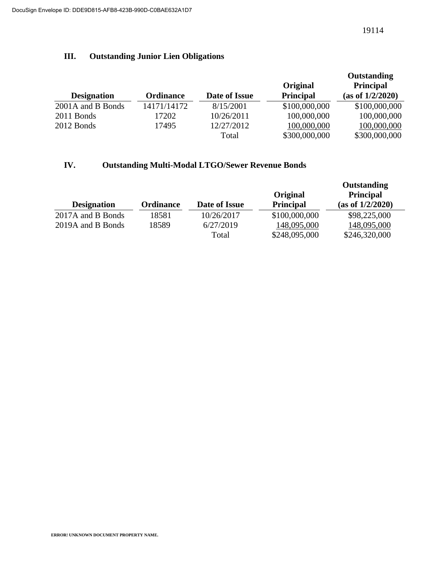# **III. Outstanding Junior Lien Obligations**

| <b>Designation</b> | <b>Ordinance</b> | Date of Issue | Original<br><b>Principal</b> | Outstanding<br><b>Principal</b><br>(as of 1/2/2020) |
|--------------------|------------------|---------------|------------------------------|-----------------------------------------------------|
| 2001A and B Bonds  | 14171/14172      | 8/15/2001     | \$100,000,000                | \$100,000,000                                       |
| 2011 Bonds         | 17202            | 10/26/2011    | 100,000,000                  | 100,000,000                                         |
| 2012 Bonds         | 17495            | 12/27/2012    | 100,000,000                  | 100,000,000                                         |
|                    |                  | Total         | \$300,000,000                | \$300,000,000                                       |

# **IV. Outstanding Multi-Modal LTGO/Sewer Revenue Bonds**

| <b>Designation</b> | <b>Ordinance</b> | Date of Issue | Original<br><b>Principal</b> | Outstanding<br><b>Principal</b><br>(as of 1/2/2020) |
|--------------------|------------------|---------------|------------------------------|-----------------------------------------------------|
| 2017A and B Bonds  | 18581            | 10/26/2017    | \$100,000,000                | \$98,225,000                                        |
| 2019A and B Bonds  | 18589            | 6/27/2019     | 148,095,000                  | 148,095,000                                         |
|                    |                  | Total         | \$248,095,000                | \$246,320,000                                       |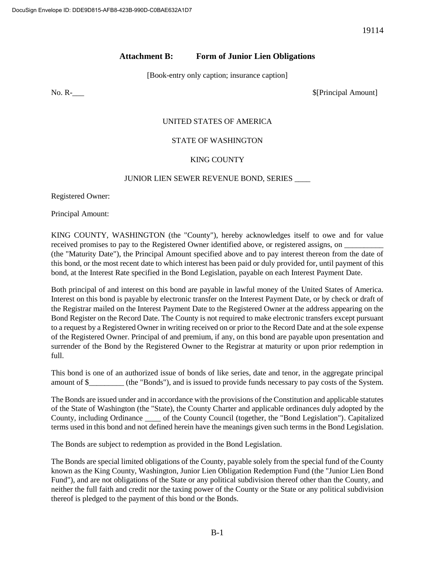# **Attachment B: Form of Junior Lien Obligations**

[Book-entry only caption; insurance caption]

No. R-<br>
\$[Principal Amount]

## UNITED STATES OF AMERICA

## STATE OF WASHINGTON

## KING COUNTY

#### JUNIOR LIEN SEWER REVENUE BOND, SERIES \_\_\_\_

Registered Owner:

Principal Amount:

KING COUNTY, WASHINGTON (the "County"), hereby acknowledges itself to owe and for value received promises to pay to the Registered Owner identified above, or registered assigns, on (the "Maturity Date"), the Principal Amount specified above and to pay interest thereon from the date of this bond, or the most recent date to which interest has been paid or duly provided for, until payment of this bond, at the Interest Rate specified in the Bond Legislation, payable on each Interest Payment Date.

Both principal of and interest on this bond are payable in lawful money of the United States of America. Interest on this bond is payable by electronic transfer on the Interest Payment Date, or by check or draft of the Registrar mailed on the Interest Payment Date to the Registered Owner at the address appearing on the Bond Register on the Record Date. The County is not required to make electronic transfers except pursuant to a request by a Registered Owner in writing received on or prior to the Record Date and at the sole expense of the Registered Owner. Principal of and premium, if any, on this bond are payable upon presentation and surrender of the Bond by the Registered Owner to the Registrar at maturity or upon prior redemption in full.

This bond is one of an authorized issue of bonds of like series, date and tenor, in the aggregate principal amount of \$\_\_\_\_\_\_\_\_\_ (the "Bonds"), and is issued to provide funds necessary to pay costs of the System.

The Bonds are issued under and in accordance with the provisions of the Constitution and applicable statutes of the State of Washington (the "State), the County Charter and applicable ordinances duly adopted by the County, including Ordinance \_\_\_\_ of the County Council (together, the "Bond Legislation"). Capitalized terms used in this bond and not defined herein have the meanings given such terms in the Bond Legislation.

The Bonds are subject to redemption as provided in the Bond Legislation.

The Bonds are special limited obligations of the County, payable solely from the special fund of the County known as the King County, Washington, Junior Lien Obligation Redemption Fund (the "Junior Lien Bond Fund"), and are not obligations of the State or any political subdivision thereof other than the County, and neither the full faith and credit nor the taxing power of the County or the State or any political subdivision thereof is pledged to the payment of this bond or the Bonds.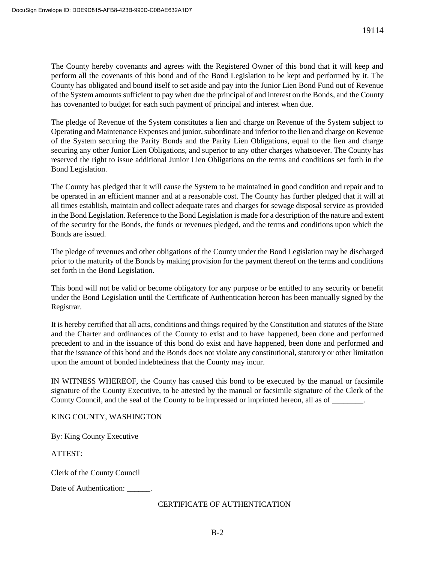The County hereby covenants and agrees with the Registered Owner of this bond that it will keep and perform all the covenants of this bond and of the Bond Legislation to be kept and performed by it. The County has obligated and bound itself to set aside and pay into the Junior Lien Bond Fund out of Revenue of the System amounts sufficient to pay when due the principal of and interest on the Bonds, and the County has covenanted to budget for each such payment of principal and interest when due.

The pledge of Revenue of the System constitutes a lien and charge on Revenue of the System subject to Operating and Maintenance Expenses and junior, subordinate and inferior to the lien and charge on Revenue of the System securing the Parity Bonds and the Parity Lien Obligations, equal to the lien and charge securing any other Junior Lien Obligations, and superior to any other charges whatsoever. The County has reserved the right to issue additional Junior Lien Obligations on the terms and conditions set forth in the Bond Legislation.

The County has pledged that it will cause the System to be maintained in good condition and repair and to be operated in an efficient manner and at a reasonable cost. The County has further pledged that it will at all times establish, maintain and collect adequate rates and charges for sewage disposal service as provided in the Bond Legislation. Reference to the Bond Legislation is made for a description of the nature and extent of the security for the Bonds, the funds or revenues pledged, and the terms and conditions upon which the Bonds are issued.

The pledge of revenues and other obligations of the County under the Bond Legislation may be discharged prior to the maturity of the Bonds by making provision for the payment thereof on the terms and conditions set forth in the Bond Legislation.

This bond will not be valid or become obligatory for any purpose or be entitled to any security or benefit under the Bond Legislation until the Certificate of Authentication hereon has been manually signed by the Registrar.

It is hereby certified that all acts, conditions and things required by the Constitution and statutes of the State and the Charter and ordinances of the County to exist and to have happened, been done and performed precedent to and in the issuance of this bond do exist and have happened, been done and performed and that the issuance of this bond and the Bonds does not violate any constitutional, statutory or other limitation upon the amount of bonded indebtedness that the County may incur.

IN WITNESS WHEREOF, the County has caused this bond to be executed by the manual or facsimile signature of the County Executive, to be attested by the manual or facsimile signature of the Clerk of the County Council, and the seal of the County to be impressed or imprinted hereon, all as of  $\blacksquare$ .

# KING COUNTY, WASHINGTON

By: King County Executive

ATTEST:

Clerk of the County Council

Date of Authentication: \_\_\_\_\_\_.

# CERTIFICATE OF AUTHENTICATION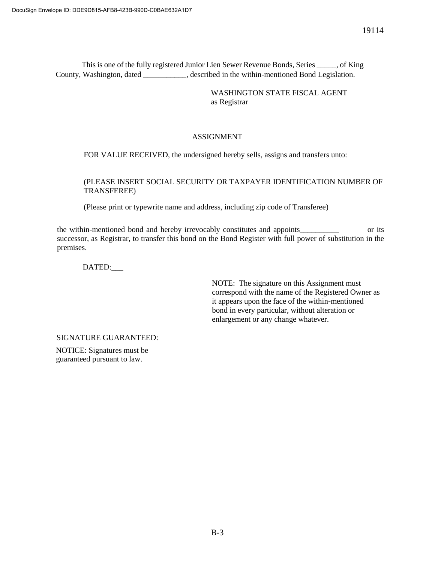This is one of the fully registered Junior Lien Sewer Revenue Bonds, Series \_\_\_\_\_, of King County, Washington, dated \_\_\_\_\_\_\_\_\_\_\_, described in the within-mentioned Bond Legislation.

> WASHINGTON STATE FISCAL AGENT as Registrar

## ASSIGNMENT

FOR VALUE RECEIVED, the undersigned hereby sells, assigns and transfers unto:

### (PLEASE INSERT SOCIAL SECURITY OR TAXPAYER IDENTIFICATION NUMBER OF TRANSFEREE)

(Please print or typewrite name and address, including zip code of Transferee)

the within-mentioned bond and hereby irrevocably constitutes and appoints\_\_\_\_\_\_\_\_\_\_ or its successor, as Registrar, to transfer this bond on the Bond Register with full power of substitution in the premises.

DATED:\_\_\_

NOTE: The signature on this Assignment must correspond with the name of the Registered Owner as it appears upon the face of the within-mentioned bond in every particular, without alteration or enlargement or any change whatever.

SIGNATURE GUARANTEED:

NOTICE: Signatures must be guaranteed pursuant to law.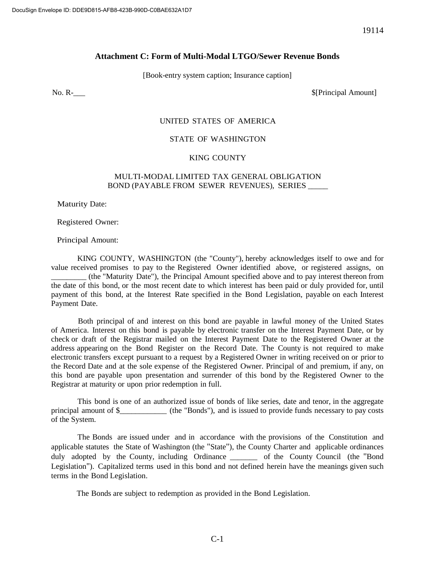#### **Attachment C: Form of Multi-Modal LTGO/Sewer Revenue Bonds**

[Book-entry system caption; Insurance caption]

No. Rlead and the set of the set of the set of the set of the set of the set of the set of the set of the set of the set of the set of the set of the set of the set of the set of the set of the set of the set of the set

#### UNITED STATES OF AMERICA

#### STATE OF WASHINGTON

#### KING COUNTY

#### MULTI-MODAL LIMITED TAX GENERAL OBLIGATION BOND (PAYABLE FROM SEWER REVENUES), SERIES \_\_\_\_\_

Maturity Date:

Registered Owner:

Principal Amount:

KING COUNTY, WASHINGTON (the "County"), hereby acknowledges itself to owe and for value received promises to pay to the Registered Owner identified above, or registered assigns, on \_\_\_\_\_\_\_\_\_ (the "Maturity Date"), the Principal Amount specified above and to pay interest thereon from the date of this bond, or the most recent date to which interest has been paid or duly provided for, until payment of this bond, at the Interest Rate specified in the Bond Legislation, payable on each Interest Payment Date.

Both principal of and interest on this bond are payable in lawful money of the United States of America. Interest on this bond is payable by electronic transfer on the Interest Payment Date, or by check or draft of the Registrar mailed on the Interest Payment Date to the Registered Owner at the address appearing on the Bond Register on the Record Date. The County is not required to make electronic transfers except pursuant to a request by a Registered Owner in writing received on or prior to the Record Date and at the sole expense of the Registered Owner. Principal of and premium, if any, on this bond are payable upon presentation and surrender of this bond by the Registered Owner to the Registrar at maturity or upon prior redemption in full.

This bond is one of an authorized issue of bonds of like series, date and tenor, in the aggregate principal amount of \$\_\_\_\_\_\_\_\_\_\_\_\_ (the "Bonds"), and is issued to provide funds necessary to pay costs of the System.

The Bonds are issued under and in accordance with the provisions of the Constitution and applicable statutes the State of Washington (the "State"), the County Charter and applicable ordinances duly adopted by the County, including Ordinance \_\_\_\_\_\_\_ of the County Council (the "Bond Legislation"). Capitalized terms used in this bond and not defined herein have the meanings given such terms in the Bond Legislation.

The Bonds are subject to redemption as provided in the Bond Legislation.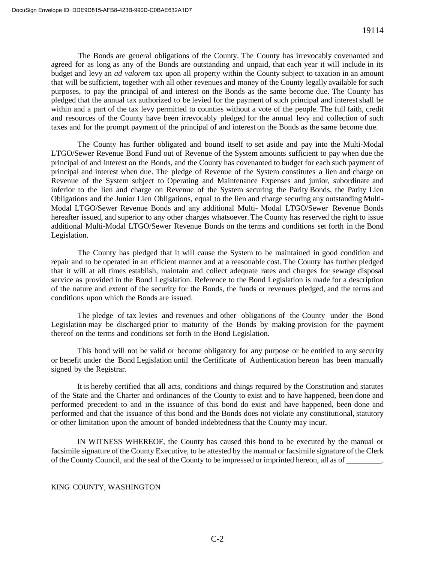The Bonds are general obligations of the County. The County has irrevocably covenanted and agreed for as long as any of the Bonds are outstanding and unpaid, that each year it will include in its budget and levy an *ad valorem* tax upon all property within the County subject to taxation in an amount that will be sufficient, together with all other revenues and money of the County legally available for such purposes, to pay the principal of and interest on the Bonds as the same become due. The County has pledged that the annual tax authorized to be levied for the payment of such principal and interestshall be within and a part of the tax levy permitted to counties without a vote of the people. The full faith, credit and resources of the County have been irrevocably pledged for the annual levy and collection of such taxes and for the prompt payment of the principal of and interest on the Bonds as the same become due.

The County has further obligated and bound itself to set aside and pay into the Multi-Modal LTGO/Sewer Revenue Bond Fund out of Revenue of the System amounts sufficient to pay when due the principal of and interest on the Bonds, and the County has covenanted to budget for each such payment of principal and interest when due. The pledge of Revenue of the System constitutes a lien and charge on Revenue of the System subject to Operating and Maintenance Expenses and junior, subordinate and inferior to the lien and charge on Revenue of the System securing the Parity Bonds, the Parity Lien Obligations and the Junior Lien Obligations, equal to the lien and charge securing any outstanding Multi-Modal LTGO/Sewer Revenue Bonds and any additional Multi- Modal LTGO/Sewer Revenue Bonds hereafter issued, and superior to any other charges whatsoever. The County has reserved the right to issue additional Multi-Modal LTGO/Sewer Revenue Bonds on the terms and conditions set forth in the Bond Legislation.

The County has pledged that it will cause the System to be maintained in good condition and repair and to be operated in an efficient manner and at a reasonable cost. The County has further pledged that it will at all times establish, maintain and collect adequate rates and charges for sewage disposal service as provided in the Bond Legislation. Reference to the Bond Legislation is made for a description of the nature and extent of the security for the Bonds, the funds or revenues pledged, and the terms and conditions upon which the Bonds are issued.

The pledge of tax levies and revenues and other obligations of the County under the Bond Legislation may be discharged prior to maturity of the Bonds by making provision for the payment thereof on the terms and conditions set forth in the Bond Legislation.

This bond will not be valid or become obligatory for any purpose or be entitled to any security or benefit under the Bond Legislation until the Certificate of Authentication hereon has been manually signed by the Registrar.

It is hereby certified that all acts, conditions and things required by the Constitution and statutes of the State and the Charter and ordinances of the County to exist and to have happened, been done and performed precedent to and in the issuance of this bond do exist and have happened, been done and performed and that the issuance of this bond and the Bonds does not violate any constitutional, statutory or other limitation upon the amount of bonded indebtedness that the County may incur.

IN WITNESS WHEREOF, the County has caused this bond to be executed by the manual or facsimile signature of the County Executive, to be attested by the manual or facsimile signature of the Clerk of the County Council, and the seal of the County to be impressed or imprinted hereon, all as of \_\_\_\_\_\_\_\_\_.

#### KING COUNTY, WASHINGTON